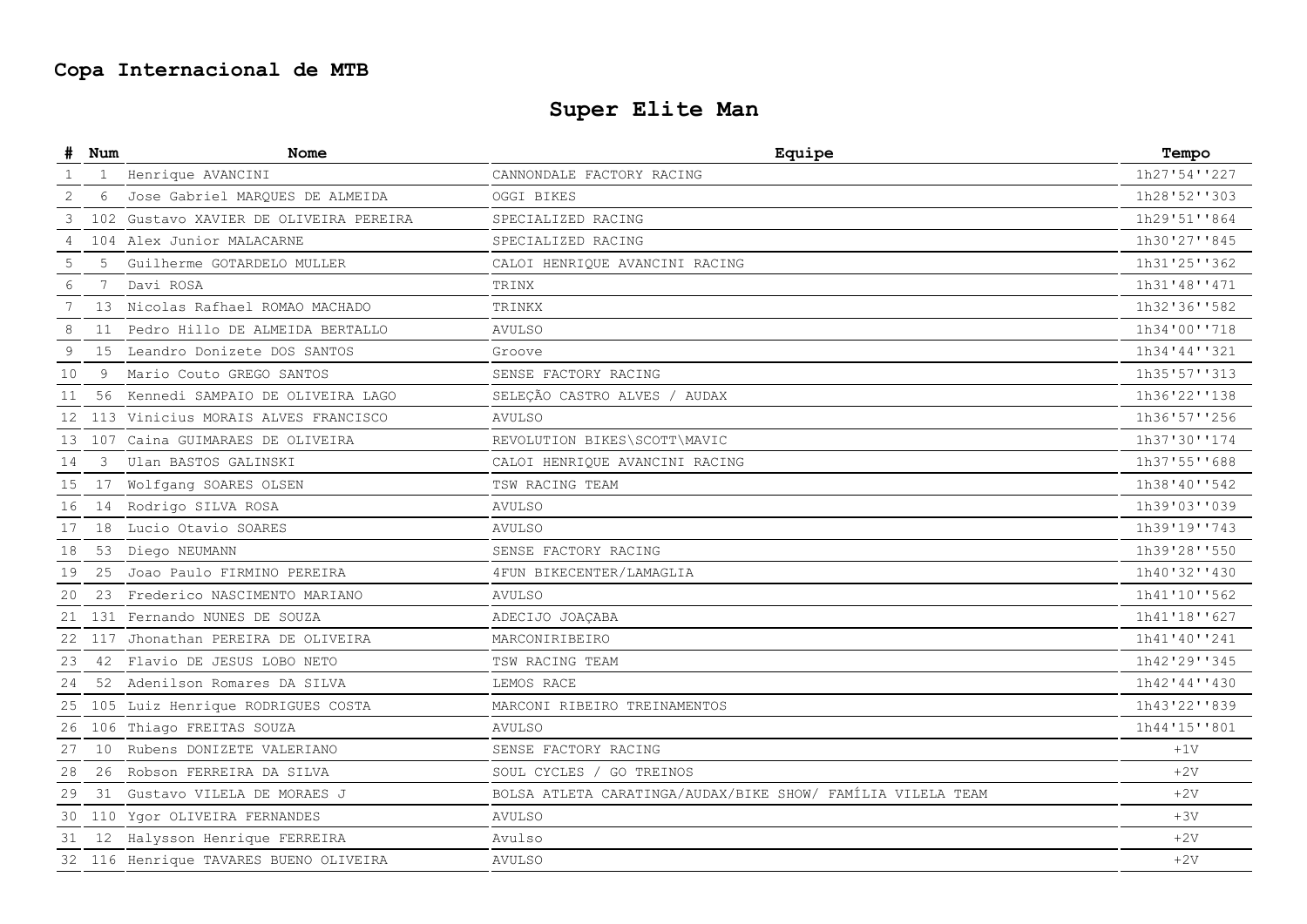# **Copa Internacional de MTB**

# **Super Elite Man**

|    | Num            | Nome                                   | Equipe                                                      | Tempo        |
|----|----------------|----------------------------------------|-------------------------------------------------------------|--------------|
| -1 | $\mathbf{1}$   | Henrique AVANCINI                      | CANNONDALE FACTORY RACING                                   | 1h27'54''227 |
| 2  | 6              | Jose Gabriel MARQUES DE ALMEIDA        | OGGI BIKES                                                  | 1h28'52''303 |
| 3  |                | 102 Gustavo XAVIER DE OLIVEIRA PEREIRA | SPECIALIZED RACING                                          | 1h29'51''864 |
| 4  |                | 104 Alex Junior MALACARNE              | SPECIALIZED RACING                                          | 1h30'27''845 |
| 5  | 5              | Guilherme GOTARDELO MULLER             | CALOI HENRIQUE AVANCINI RACING                              | 1h31'25''362 |
| 6  | 7 <sup>7</sup> | Davi ROSA                              | TRINX                                                       | 1h31'48''471 |
|    | 13             | Nicolas Rafhael ROMAO MACHADO          | TRINKX                                                      | 1h32'36''582 |
| 8  | 11             | Pedro Hillo DE ALMEIDA BERTALLO        | AVULSO                                                      | 1h34'00''718 |
| 9  | 15             | Leandro Donizete DOS SANTOS            | Groove                                                      | 1h34'44''321 |
| 10 | 9              | Mario Couto GREGO SANTOS               | SENSE FACTORY RACING                                        | 1h35'57''313 |
| 11 | 56             | Kennedi SAMPAIO DE OLIVEIRA LAGO       | SELECÃO CASTRO ALVES / AUDAX                                | 1h36'22''138 |
|    |                | 12 113 Vinicius MORAIS ALVES FRANCISCO | <b>AVULSO</b>                                               | 1h36'57''256 |
|    |                | 13 107 Caina GUIMARAES DE OLIVEIRA     | REVOLUTION BIKES\SCOTT\MAVIC                                | 1h37'30''174 |
| 14 | 3              | Ulan BASTOS GALINSKI                   | CALOI HENRIQUE AVANCINI RACING                              | 1h37'55''688 |
| 15 | 17             | Wolfgang SOARES OLSEN                  | TSW RACING TEAM                                             | 1h38'40''542 |
| 16 | 14             | Rodrigo SILVA ROSA                     | <b>AVULSO</b>                                               | 1h39'03''039 |
| 17 | 18             | Lucio Otavio SOARES                    | <b>AVULSO</b>                                               | 1h39'19''743 |
| 18 | 53             | Diego NEUMANN                          | SENSE FACTORY RACING                                        | 1h39'28''550 |
| 19 | 25             | Joao Paulo FIRMINO PEREIRA             | 4FUN BIKECENTER/LAMAGLIA                                    | 1h40'32''430 |
| 20 |                | 23 Frederico NASCIMENTO MARIANO        | <b>AVULSO</b>                                               | 1h41'10''562 |
| 21 |                | 131 Fernando NUNES DE SOUZA            | ADECIJO JOAÇABA                                             | 1h41'18''627 |
| 22 |                | 117 Jhonathan PEREIRA DE OLIVEIRA      | MARCONIRIBEIRO                                              | 1h41'40''241 |
| 23 | 42             | Flavio DE JESUS LOBO NETO              | TSW RACING TEAM                                             | 1h42'29''345 |
| 24 |                | 52 Adenilson Romares DA SILVA          | LEMOS RACE                                                  | 1h42'44''430 |
| 25 |                | 105 Luiz Henrique RODRIGUES COSTA      | MARCONI RIBEIRO TREINAMENTOS                                | 1h43'22''839 |
| 26 |                | 106 Thiago FREITAS SOUZA               | <b>AVULSO</b>                                               | 1h44'15''801 |
| 27 | 10             | Rubens DONIZETE VALERIANO              | SENSE FACTORY RACING                                        | $+1V$        |
| 28 |                | 26 Robson FERREIRA DA SILVA            | SOUL CYCLES / GO TREINOS                                    | $+2V$        |
| 29 | 31             | Gustavo VILELA DE MORAES J             | BOLSA ATLETA CARATINGA/AUDAX/BIKE SHOW/ FAMÍLIA VILELA TEAM | $+2V$        |
|    |                | 30 110 Ygor OLIVEIRA FERNANDES         | <b>AVULSO</b>                                               | $+3V$        |
|    |                | 31 12 Halysson Henrique FERREIRA       | Avulso                                                      | $+2V$        |
|    |                | 32 116 Henrique TAVARES BUENO OLIVEIRA | <b>AVULSO</b>                                               | $+2V$        |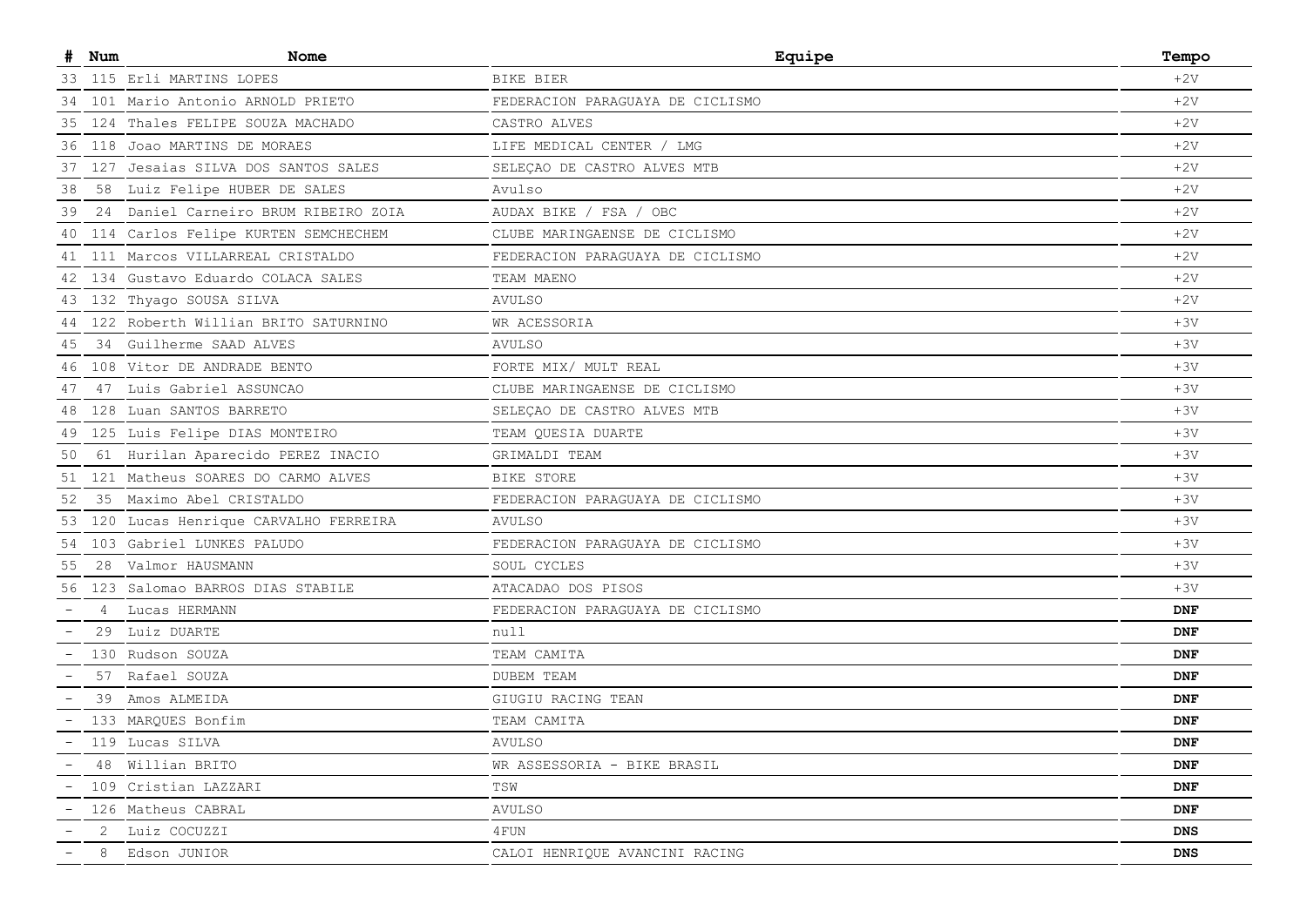|    | Num | Nome                                    | Equipe                           | Tempo          |
|----|-----|-----------------------------------------|----------------------------------|----------------|
|    |     | 33 115 Erli MARTINS LOPES               | BIKE BIER                        | $+2V$          |
| 34 |     | 101 Mario Antonio ARNOLD PRIETO         | FEDERACION PARAGUAYA DE CICLISMO | $+2V$          |
| 35 |     | 124 Thales FELIPE SOUZA MACHADO         | CASTRO ALVES                     | $+2V$          |
| 36 |     | 118 Joao MARTINS DE MORAES              | LIFE MEDICAL CENTER / LMG        | $+2V$          |
|    |     | 37 127 Jesaias SILVA DOS SANTOS SALES   | SELEÇAO DE CASTRO ALVES MTB      | $+2V$          |
| 38 |     | 58 Luiz Felipe HUBER DE SALES           | Avulso                           | $+2V$          |
| 39 | 24  | Daniel Carneiro BRUM RIBEIRO ZOIA       | AUDAX BIKE / FSA / OBC           | $+2V$          |
| 40 |     | 114 Carlos Felipe KURTEN SEMCHECHEM     | CLUBE MARINGAENSE DE CICLISMO    | $+2V$          |
| 41 |     | 111 Marcos VILLARREAL CRISTALDO         | FEDERACION PARAGUAYA DE CICLISMO | $+2V$          |
| 42 |     | 134 Gustavo Eduardo COLACA SALES        | TEAM MAENO                       | $+2V$          |
|    |     | 43 132 Thyago SOUSA SILVA               | <b>AVULSO</b>                    | $+2V$          |
| 44 |     | 122 Roberth Willian BRITO SATURNINO     | WR ACESSORIA                     | $+3V$          |
| 45 |     | 34 Guilherme SAAD ALVES                 | <b>AVULSO</b>                    | $+3V$          |
|    |     | 46 108 Vitor DE ANDRADE BENTO           | FORTE MIX/ MULT REAL             | $+3V$          |
| 47 |     | 47 Luis Gabriel ASSUNCAO                | CLUBE MARINGAENSE DE CICLISMO    | $+3V$          |
| 48 |     | 128 Luan SANTOS BARRETO                 | SELEÇAO DE CASTRO ALVES MTB      | $+3V$          |
|    |     | 49 125 Luis Felipe DIAS MONTEIRO        | TEAM QUESIA DUARTE               | $+3V$          |
| 50 |     | 61 Hurilan Aparecido PEREZ INACIO       | GRIMALDI TEAM                    | $+3V$          |
|    |     | 51 121 Matheus SOARES DO CARMO ALVES    | BIKE STORE                       | $+3V$          |
| 52 |     | 35 Maximo Abel CRISTALDO                | FEDERACION PARAGUAYA DE CICLISMO | $+3V$          |
|    |     | 53 120 Lucas Henrique CARVALHO FERREIRA | AVULSO                           | $+3V$          |
|    |     | 54 103 Gabriel LUNKES PALUDO            | FEDERACION PARAGUAYA DE CICLISMO | $+3V$          |
| 55 |     | 28 Valmor HAUSMANN                      | SOUL CYCLES                      | $+3V$          |
|    |     | 56 123 Salomao BARROS DIAS STABILE      | ATACADAO DOS PISOS               | $+3V$          |
|    | 4   | Lucas HERMANN                           | FEDERACION PARAGUAYA DE CICLISMO | <b>DNF</b>     |
|    |     | 29 Luiz DUARTE                          | null                             | <b>DNF</b>     |
|    |     | 130 Rudson SOUZA                        | TEAM CAMITA                      | <b>DNF</b>     |
|    |     | 57 Rafael SOUZA                         | <b>DUBEM TEAM</b>                | <b>DNF</b>     |
|    |     | 39 Amos ALMEIDA                         | GIUGIU RACING TEAN               | <b>DNF</b>     |
|    |     | 133 MARQUES Bonfim                      | TEAM CAMITA                      | <b>DNF</b>     |
|    |     | 119 Lucas SILVA                         | AVULSO                           | $\mathbf{DNF}$ |
|    |     | 48 Willian BRITO                        | WR ASSESSORIA - BIKE BRASIL      | DNF            |
|    |     | 109 Cristian LAZZARI                    | TSW                              | DNF            |
|    |     | 126 Matheus CABRAL                      | AVULSO                           | DNF            |
|    | 2   | Luiz COCUZZI                            | 4 FUN                            | DNS            |
|    | 8   | Edson JUNIOR                            | CALOI HENRIQUE AVANCINI RACING   | <b>DNS</b>     |
|    |     |                                         |                                  |                |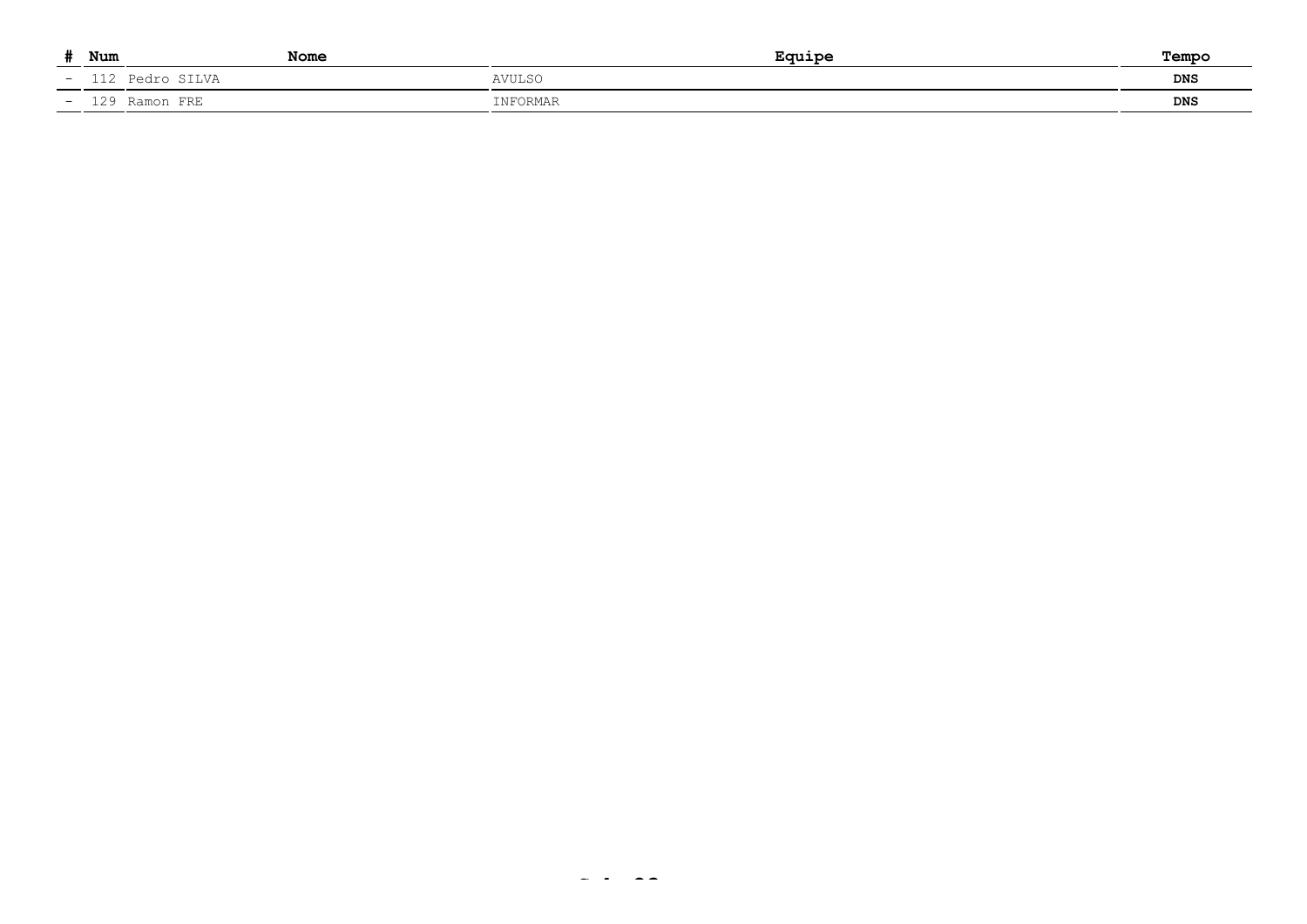|                | Num | <b>Nome</b>     | Equipe        | Temp       |
|----------------|-----|-----------------|---------------|------------|
| $\sim$ $\sim$  |     | 112 Pedro SILVA | <b>AVULSC</b> | DNS        |
| <b>Service</b> |     | 129 Ramon FRE   | INFORMAR      | <b>DNS</b> |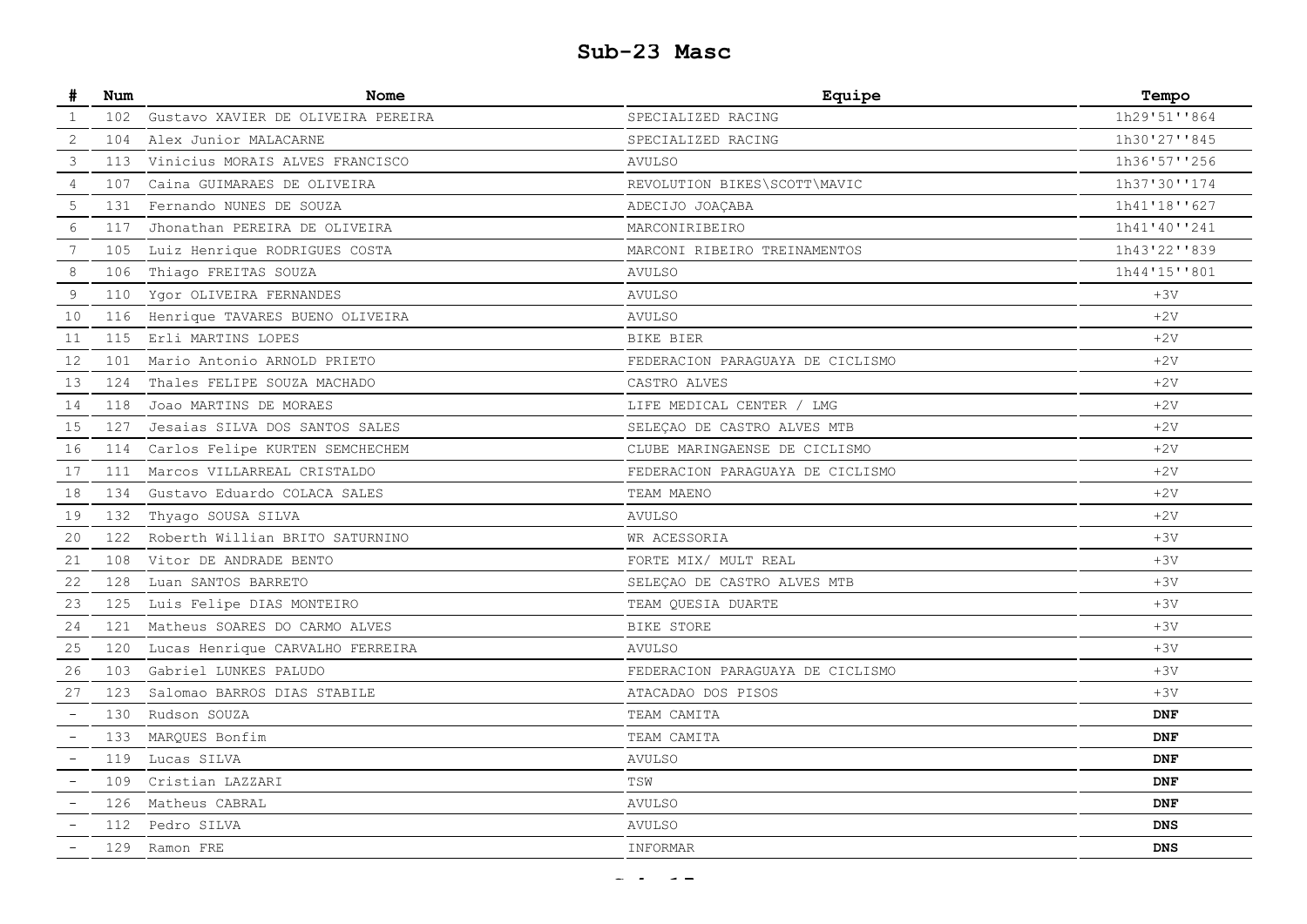### **Sub-23 Masc**

| #                        | Num | Nome                               | Equipe                           | Tempo        |
|--------------------------|-----|------------------------------------|----------------------------------|--------------|
| 1                        | 102 | Gustavo XAVIER DE OLIVEIRA PEREIRA | SPECIALIZED RACING               | 1h29'51''864 |
| 2                        | 104 | Alex Junior MALACARNE              | SPECIALIZED RACING               | 1h30'27''845 |
| 3                        | 113 | Vinicius MORAIS ALVES FRANCISCO    | <b>AVULSO</b>                    | 1h36'57''256 |
| 4                        | 107 | Caina GUIMARAES DE OLIVEIRA        | REVOLUTION BIKES\SCOTT\MAVIC     | 1h37'30''174 |
| 5                        | 131 | Fernando NUNES DE SOUZA            | ADECIJO JOAÇABA                  | 1h41'18''627 |
| 6                        | 117 | Jhonathan PEREIRA DE OLIVEIRA      | MARCONIRIBEIRO                   | 1h41'40''241 |
| $7\phantom{.0}$          | 105 | Luiz Henrique RODRIGUES COSTA      | MARCONI RIBEIRO TREINAMENTOS     | 1h43'22''839 |
| 8                        | 106 | Thiago FREITAS SOUZA               | <b>AVULSO</b>                    | 1h44'15''801 |
| 9                        | 110 | Ygor OLIVEIRA FERNANDES            | <b>AVULSO</b>                    | $+3V$        |
| 10                       | 116 | Henrique TAVARES BUENO OLIVEIRA    | <b>AVULSO</b>                    | $+2V$        |
| 11                       | 115 | Erli MARTINS LOPES                 | BIKE BIER                        | $+2V$        |
| 12                       | 101 | Mario Antonio ARNOLD PRIETO        | FEDERACION PARAGUAYA DE CICLISMO | $+2V$        |
| 13                       | 124 | Thales FELIPE SOUZA MACHADO        | CASTRO ALVES                     | $+2V$        |
| 14                       | 118 | Joao MARTINS DE MORAES             | LIFE MEDICAL CENTER / LMG        | $+2V$        |
| 15                       | 127 | Jesaias SILVA DOS SANTOS SALES     | SELEÇAO DE CASTRO ALVES MTB      | $+2V$        |
| 16                       | 114 | Carlos Felipe KURTEN SEMCHECHEM    | CLUBE MARINGAENSE DE CICLISMO    | $+2V$        |
| 17                       | 111 | Marcos VILLARREAL CRISTALDO        | FEDERACION PARAGUAYA DE CICLISMO | $+2V$        |
| 18                       | 134 | Gustavo Eduardo COLACA SALES       | TEAM MAENO                       | $+2V$        |
| 19                       | 132 | Thyago SOUSA SILVA                 | <b>AVULSO</b>                    | $+2V$        |
| 20                       | 122 | Roberth Willian BRITO SATURNINO    | WR ACESSORIA                     | $+3V$        |
| 21                       | 108 | Vitor DE ANDRADE BENTO             | FORTE MIX/ MULT REAL             | $+3V$        |
| 22                       | 128 | Luan SANTOS BARRETO                | SELEÇAO DE CASTRO ALVES MTB      | $+3V$        |
| 23                       | 125 | Luis Felipe DIAS MONTEIRO          | TEAM QUESIA DUARTE               | $+3V$        |
| 24                       | 121 | Matheus SOARES DO CARMO ALVES      | BIKE STORE                       | $+3V$        |
| 25                       | 120 | Lucas Henrique CARVALHO FERREIRA   | <b>AVULSO</b>                    | $+3V$        |
| 26                       | 103 | Gabriel LUNKES PALUDO              | FEDERACION PARAGUAYA DE CICLISMO | $+3V$        |
| 27                       | 123 | Salomao BARROS DIAS STABILE        | ATACADAO DOS PISOS               | $+3V$        |
| $\overline{\phantom{a}}$ | 130 | Rudson SOUZA                       | TEAM CAMITA                      | <b>DNF</b>   |
|                          | 133 | MARQUES Bonfim                     | TEAM CAMITA                      | <b>DNF</b>   |
| $\overline{\phantom{0}}$ | 119 | Lucas SILVA                        | <b>AVULSO</b>                    | <b>DNF</b>   |
|                          | 109 | Cristian LAZZARI                   | TSW                              | <b>DNF</b>   |
|                          | 126 | Matheus CABRAL                     | <b>AVULSO</b>                    | <b>DNF</b>   |
|                          | 112 | Pedro SILVA                        | <b>AVULSO</b>                    | <b>DNS</b>   |
|                          | 129 | Ramon FRE                          | INFORMAR                         | <b>DNS</b>   |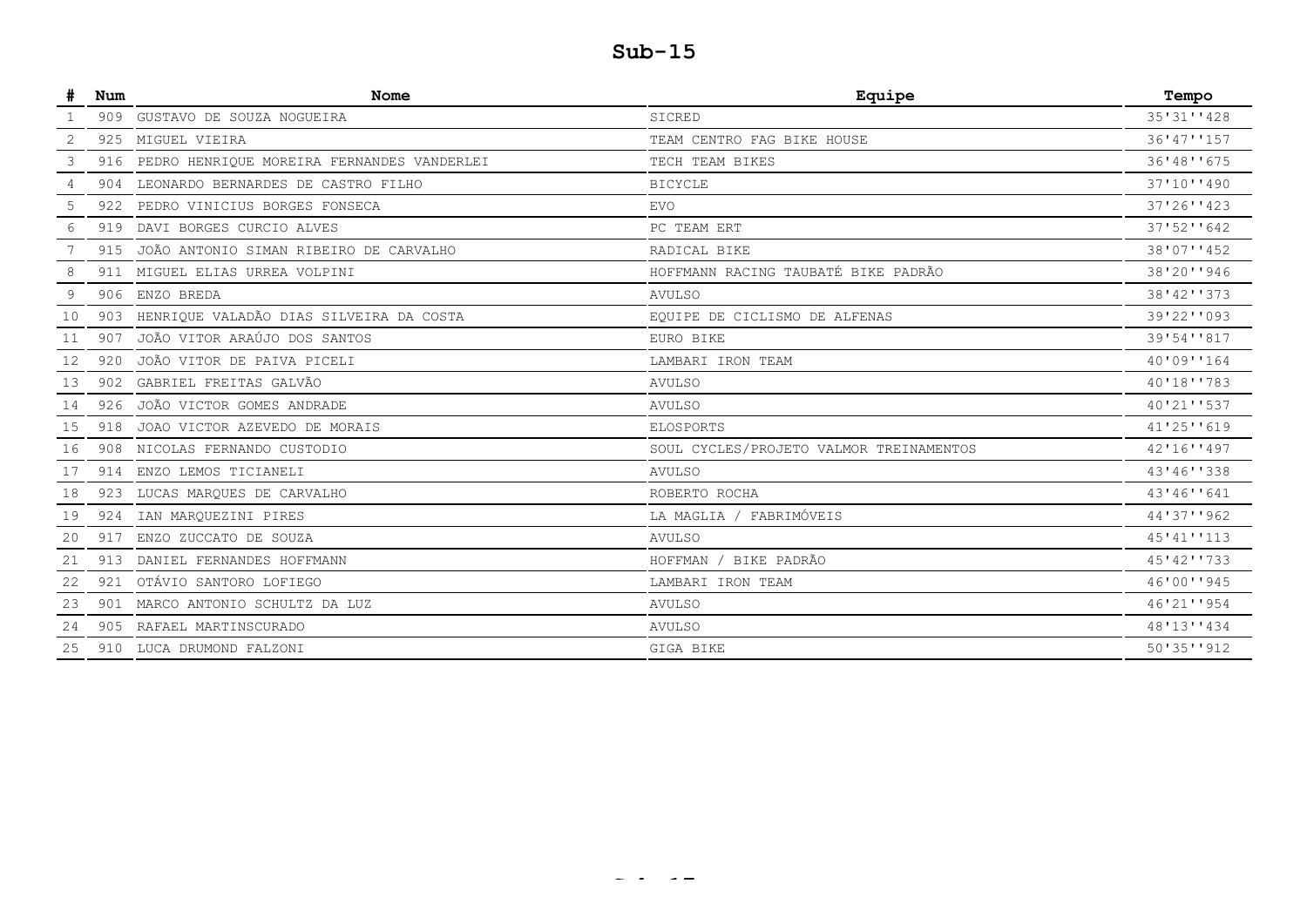|    | Num | <b>Nome</b>                                | Equipe                                  | Tempo      |
|----|-----|--------------------------------------------|-----------------------------------------|------------|
|    |     | 909 GUSTAVO DE SOUZA NOGUEIRA              | SICRED                                  | 35'31''428 |
| 2  |     | 925 MIGUEL VIEIRA                          | TEAM CENTRO FAG BIKE HOUSE              | 36'47''157 |
| 3  | 916 | PEDRO HENRIQUE MOREIRA FERNANDES VANDERLEI | TECH TEAM BIKES                         | 36'48''675 |
| 4  | 904 | LEONARDO BERNARDES DE CASTRO FILHO         | <b>BICYCLE</b>                          | 37'10''490 |
| 5  | 922 | PEDRO VINICIUS BORGES FONSECA              | <b>EVO</b>                              | 37'26''423 |
| 6  | 919 | DAVI BORGES CURCIO ALVES                   | PC TEAM ERT                             | 37'52''642 |
|    |     | 915 JOÃO ANTONIO SIMAN RIBEIRO DE CARVALHO | RADICAL BIKE                            | 38'07''452 |
|    | 911 | MIGUEL ELIAS URREA VOLPINI                 | HOFFMANN RACING TAUBATÉ BIKE PADRÃO     | 38'20''946 |
|    |     | 906 ENZO BREDA                             | <b>AVULSO</b>                           | 38'42''373 |
| 10 | 903 | HENRIQUE VALADÃO DIAS SILVEIRA DA COSTA    | EQUIPE DE CICLISMO DE ALFENAS           | 39'22''093 |
|    |     | 907 JOÃO VITOR ARAÚJO DOS SANTOS           | EURO BIKE                               | 39'54''817 |
| 12 | 920 | JOÃO VITOR DE PAIVA PICELI                 | LAMBARI IRON TEAM                       | 40'09''164 |
| 13 |     | 902 GABRIEL FREITAS GALVÃO                 | <b>AVULSO</b>                           | 40'18''783 |
| 14 |     | 926 JOÃO VICTOR GOMES ANDRADE              | <b>AVULSO</b>                           | 40'21''537 |
| 15 |     | 918 JOAO VICTOR AZEVEDO DE MORAIS          | <b>ELOSPORTS</b>                        | 41'25''619 |
| 16 |     | 908 NICOLAS FERNANDO CUSTODIO              | SOUL CYCLES/PROJETO VALMOR TREINAMENTOS | 42'16''497 |
| 17 |     | 914 ENZO LEMOS TICIANELI                   | <b>AVULSO</b>                           | 43'46''338 |
| 18 |     | 923 LUCAS MARQUES DE CARVALHO              | ROBERTO ROCHA                           | 43'46''641 |
| 19 |     | 924 IAN MARQUEZINI PIRES                   | LA MAGLIA / FABRIMÓVEIS                 | 44'37''962 |
| 20 | 917 | ENZO ZUCCATO DE SOUZA                      | <b>AVULSO</b>                           | 45'41''113 |
| 21 | 913 | DANIEL FERNANDES HOFFMANN                  | BIKE PADRÃO<br>HOFFMAN                  | 45'42''733 |
| 22 | 921 | OTÁVIO SANTORO LOFIEGO                     | LAMBARI IRON TEAM                       | 46'00''945 |
| 23 |     | 901 MARCO ANTONIO SCHULTZ DA LUZ           | <b>AVULSO</b>                           | 46'21''954 |
| 24 |     | 905 RAFAEL MARTINSCURADO                   | <b>AVULSO</b>                           | 48'13''434 |
| 25 |     | 910 LUCA DRUMOND FALZONI                   | GIGA BIKE                               | 50'35''912 |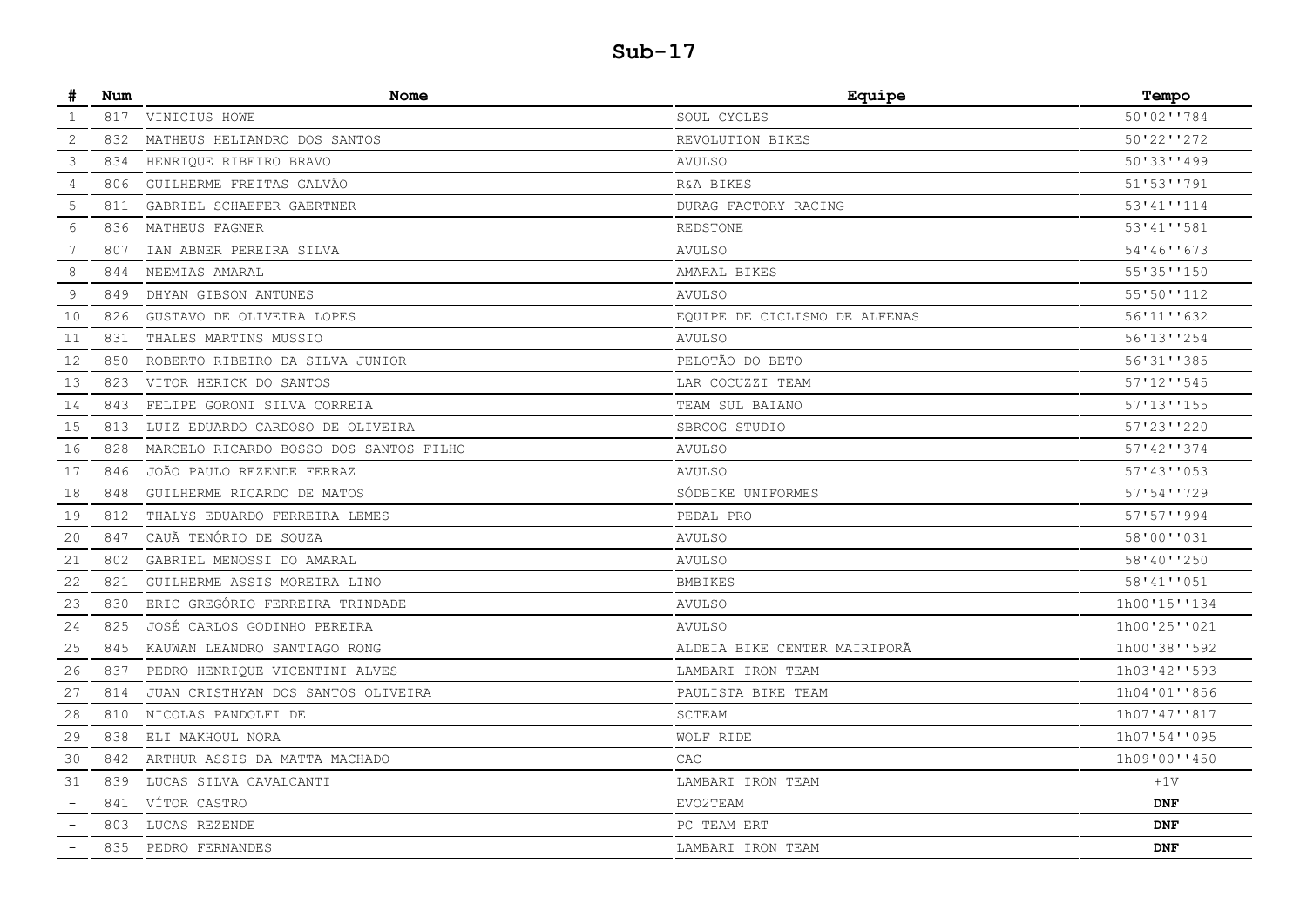| #                        | Num | Nome                                   | Equipe                        | Tempo           |
|--------------------------|-----|----------------------------------------|-------------------------------|-----------------|
| $\mathbf{1}$             | 817 | VINICIUS HOWE                          | SOUL CYCLES                   | 50'02''784      |
| 2                        | 832 | MATHEUS HELIANDRO DOS SANTOS           | REVOLUTION BIKES              | $50'22'$ $1272$ |
| 3                        | 834 | HENRIQUE RIBEIRO BRAVO                 | <b>AVULSO</b>                 | $50'33'$ '499   |
| 4                        | 806 | GUILHERME FREITAS GALVÃO               | R&A BIKES                     | 51'53''791      |
| 5                        | 811 | GABRIEL SCHAEFER GAERTNER              | DURAG FACTORY RACING          | 53'41''114      |
| 6                        | 836 | MATHEUS FAGNER                         | REDSTONE                      | 53'41''581      |
| 7                        | 807 | IAN ABNER PEREIRA SILVA                | <b>AVULSO</b>                 | 54'46''673      |
| 8                        | 844 | NEEMIAS AMARAL                         | AMARAL BIKES                  | 55'35''150      |
| 9                        | 849 | DHYAN GIBSON ANTUNES                   | <b>AVULSO</b>                 | 55'50''112      |
| 10                       | 826 | GUSTAVO DE OLIVEIRA LOPES              | EQUIPE DE CICLISMO DE ALFENAS | 56'11''632      |
| 11                       | 831 | THALES MARTINS MUSSIO                  | <b>AVULSO</b>                 | 56'13''254      |
| 12                       | 850 | ROBERTO RIBEIRO DA SILVA JUNIOR        | PELOTÃO DO BETO               | 56'31''385      |
| 13                       | 823 | VITOR HERICK DO SANTOS                 | LAR COCUZZI TEAM              | 57'12''545      |
| 14                       | 843 | FELIPE GORONI SILVA CORREIA            | TEAM SUL BAIANO               | 57'13''155      |
| 15                       | 813 | LUIZ EDUARDO CARDOSO DE OLIVEIRA       | SBRCOG STUDIO                 | 57'23''220      |
| 16                       | 828 | MARCELO RICARDO BOSSO DOS SANTOS FILHO | <b>AVULSO</b>                 | 57'42''374      |
| 17                       | 846 | JOÃO PAULO REZENDE FERRAZ              | <b>AVULSO</b>                 | 57'43''053      |
| 18                       | 848 | GUILHERME RICARDO DE MATOS             | SÓDBIKE UNIFORMES             | 57'54''729      |
| 19                       | 812 | THALYS EDUARDO FERREIRA LEMES          | PEDAL PRO                     | 57'57''994      |
| 20                       | 847 | CAUÃ TENÓRIO DE SOUZA                  | <b>AVULSO</b>                 | 58'00''031      |
| 21                       | 802 | GABRIEL MENOSSI DO AMARAL              | <b>AVULSO</b>                 | 58'40''250      |
| 22                       | 821 | GUILHERME ASSIS MOREIRA LINO           | <b>BMBIKES</b>                | 58'41''051      |
| 23                       | 830 | ERIC GREGÓRIO FERREIRA TRINDADE        | <b>AVULSO</b>                 | 1h00'15''134    |
| 24                       | 825 | JOSÉ CARLOS GODINHO PEREIRA            | <b>AVULSO</b>                 | 1h00'25''021    |
| 25                       | 845 | KAUWAN LEANDRO SANTIAGO RONG           | ALDEIA BIKE CENTER MAIRIPORÃ  | 1h00'38''592    |
| 26                       | 837 | PEDRO HENRIQUE VICENTINI ALVES         | LAMBARI IRON TEAM             | 1h03'42''593    |
| 27                       | 814 | JUAN CRISTHYAN DOS SANTOS OLIVEIRA     | PAULISTA BIKE TEAM            | 1h04'01''856    |
| 28                       | 810 | NICOLAS PANDOLFI DE                    | SCTEAM                        | 1h07'47''817    |
| 29                       | 838 | ELI MAKHOUL NORA                       | WOLF RIDE                     | 1h07'54''095    |
| 30                       | 842 | ARTHUR ASSIS DA MATTA MACHADO          | CAC                           | 1h09'00''450    |
| 31                       | 839 | LUCAS SILVA CAVALCANTI                 | LAMBARI IRON TEAM             | $+1V$           |
|                          | 841 | VÍTOR CASTRO                           | EVO2TEAM                      | <b>DNF</b>      |
|                          | 803 | LUCAS REZENDE                          | PC TEAM ERT                   | <b>DNF</b>      |
| $\overline{\phantom{a}}$ | 835 | PEDRO FERNANDES                        | LAMBARI IRON TEAM             | <b>DNF</b>      |
|                          |     |                                        |                               |                 |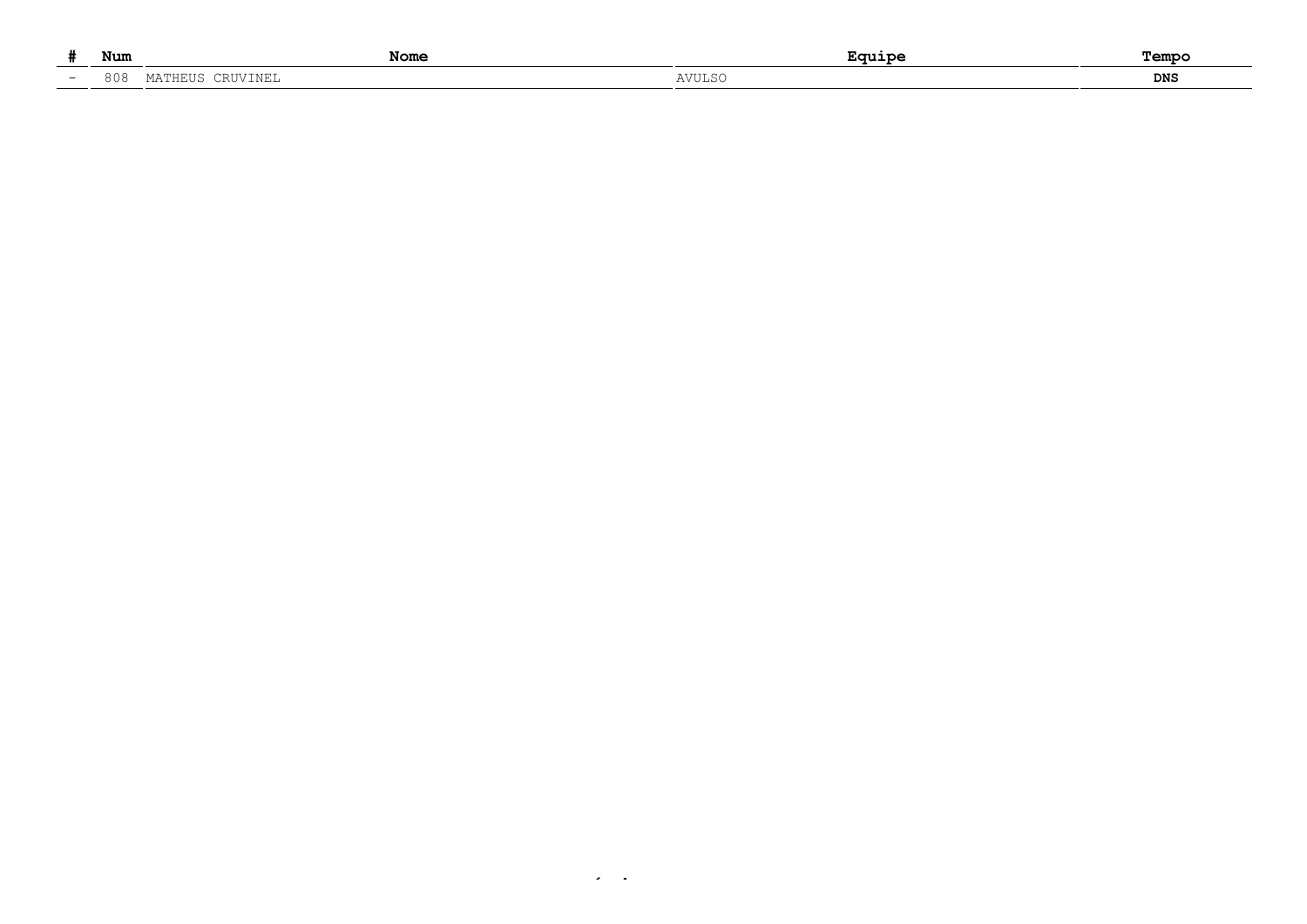|    | Num                                                                   | Nome |       | Tempo |
|----|-----------------------------------------------------------------------|------|-------|-------|
| __ | 0 <sup>0</sup><br>$\circ \circ \circ \circ$<br>.<br>2111<br>ـ تـ ۱۷ ـ |      | アヘコロハ | DNS   |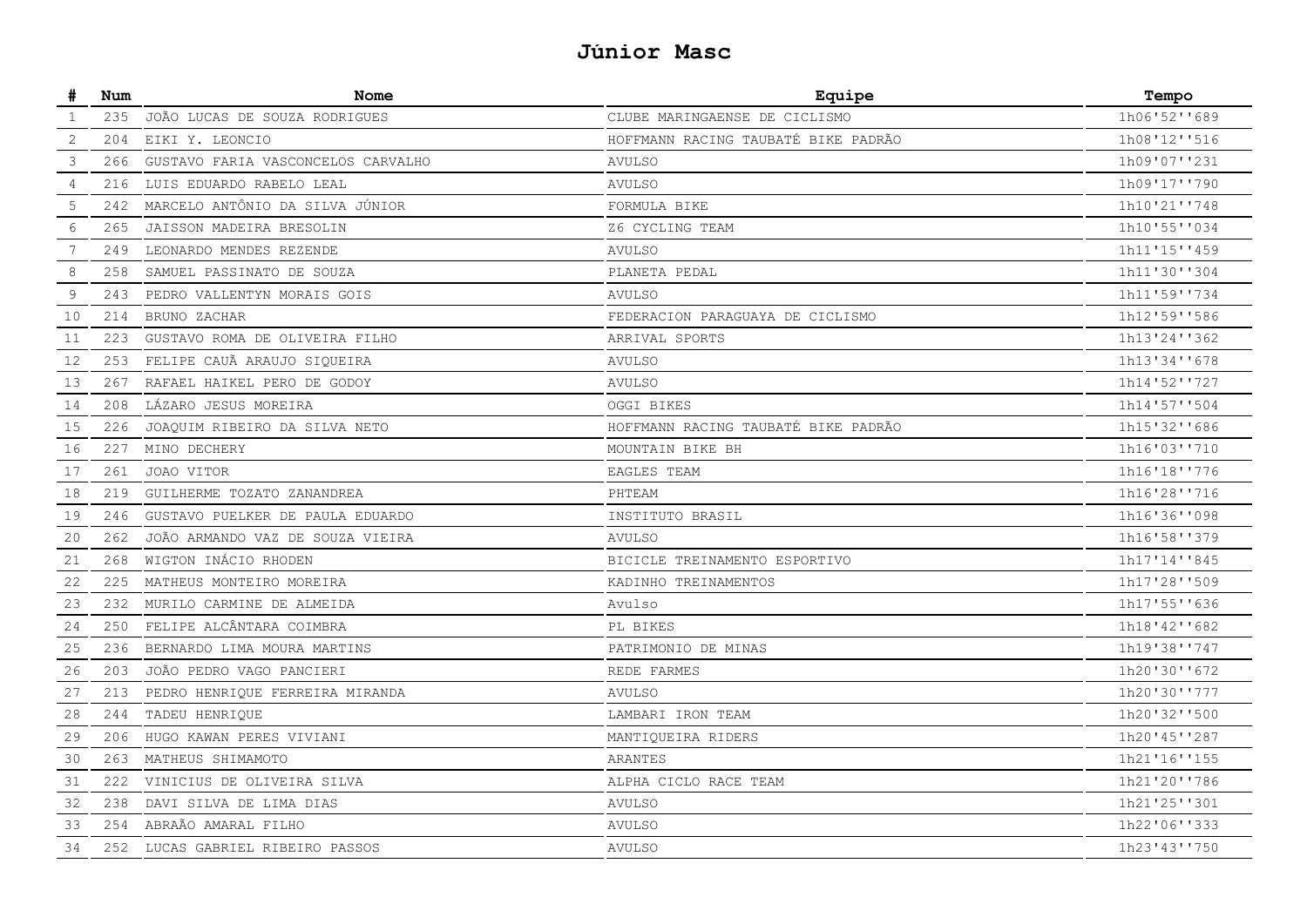### **Júnior Masc**

| #  | Num | Nome                               | Equipe                              | Tempo        |
|----|-----|------------------------------------|-------------------------------------|--------------|
| 1  | 235 | JOÃO LUCAS DE SOUZA RODRIGUES      | CLUBE MARINGAENSE DE CICLISMO       | 1h06'52''689 |
| 2  | 204 | EIKI Y. LEONCIO                    | HOFFMANN RACING TAUBATÉ BIKE PADRÃO | 1h08'12''516 |
| 3  | 266 | GUSTAVO FARIA VASCONCELOS CARVALHO | <b>AVULSO</b>                       | 1h09'07''231 |
| 4  | 216 | LUIS EDUARDO RABELO LEAL           | <b>AVULSO</b>                       | 1h09'17''790 |
| 5  | 242 | MARCELO ANTÔNIO DA SILVA JÚNIOR    | FORMULA BIKE                        | 1h10'21''748 |
| 6  | 265 | JAISSON MADEIRA BRESOLIN           | Z6 CYCLING TEAM                     | 1h10'55''034 |
| 7  | 249 | LEONARDO MENDES REZENDE            | <b>AVULSO</b>                       | 1h11'15''459 |
| 8  | 258 | SAMUEL PASSINATO DE SOUZA          | PLANETA PEDAL                       | 1h11'30''304 |
| 9  | 243 | PEDRO VALLENTYN MORAIS GOIS        | AVULSO                              | 1h11'59''734 |
| 10 | 214 | BRUNO ZACHAR                       | FEDERACION PARAGUAYA DE CICLISMO    | 1h12'59''586 |
| 11 | 223 | GUSTAVO ROMA DE OLIVEIRA FILHO     | ARRIVAL SPORTS                      | 1h13'24''362 |
| 12 | 253 | FELIPE CAUÃ ARAUJO SIQUEIRA        | <b>AVULSO</b>                       | 1h13'34''678 |
| 13 | 267 | RAFAEL HAIKEL PERO DE GODOY        | <b>AVULSO</b>                       | 1h14'52''727 |
| 14 | 208 | LÁZARO JESUS MOREIRA               | OGGI BIKES                          | 1h14'57''504 |
| 15 | 226 | JOAQUIM RIBEIRO DA SILVA NETO      | HOFFMANN RACING TAUBATÉ BIKE PADRÃO | 1h15'32''686 |
| 16 | 227 | MINO DECHERY                       | MOUNTAIN BIKE BH                    | 1h16'03''710 |
| 17 | 261 | JOAO VITOR                         | EAGLES TEAM                         | 1h16'18''776 |
| 18 | 219 | GUILHERME TOZATO ZANANDREA         | PHTEAM                              | 1h16'28''716 |
| 19 | 246 | GUSTAVO PUELKER DE PAULA EDUARDO   | INSTITUTO BRASIL                    | 1h16'36''098 |
| 20 | 262 | JOÃO ARMANDO VAZ DE SOUZA VIEIRA   | <b>AVULSO</b>                       | 1h16'58''379 |
| 21 | 268 | WIGTON INÁCIO RHODEN               | BICICLE TREINAMENTO ESPORTIVO       | 1h17'14''845 |
| 22 | 225 | MATHEUS MONTEIRO MOREIRA           | KADINHO TREINAMENTOS                | 1h17'28''509 |
| 23 | 232 | MURILO CARMINE DE ALMEIDA          | Avulso                              | 1h17'55''636 |
| 24 | 250 | FELIPE ALCÂNTARA COIMBRA           | PL BIKES                            | 1h18'42''682 |
| 25 | 236 | BERNARDO LIMA MOURA MARTINS        | PATRIMONIO DE MINAS                 | 1h19'38''747 |
| 26 | 203 | JOÃO PEDRO VAGO PANCIERI           | REDE FARMES                         | 1h20'30''672 |
| 27 | 213 | PEDRO HENRIQUE FERREIRA MIRANDA    | <b>AVULSO</b>                       | 1h20'30''777 |
| 28 | 244 | TADEU HENRIOUE                     | LAMBARI IRON TEAM                   | 1h20'32''500 |
| 29 | 206 | HUGO KAWAN PERES VIVIANI           | MANTIQUEIRA RIDERS                  | 1h20'45''287 |
| 30 | 263 | MATHEUS SHIMAMOTO                  | ARANTES                             | 1h21'16''155 |
| 31 | 222 | VINICIUS DE OLIVEIRA SILVA         | ALPHA CICLO RACE TEAM               | 1h21'20''786 |
| 32 | 238 | DAVI SILVA DE LIMA DIAS            | <b>AVULSO</b>                       | 1h21'25''301 |
| 33 | 254 | ABRAÃO AMARAL FILHO                | <b>AVULSO</b>                       | 1h22'06''333 |
| 34 | 252 | LUCAS GABRIEL RIBEIRO PASSOS       | <b>AVULSO</b>                       | 1h23'43''750 |
|    |     |                                    |                                     |              |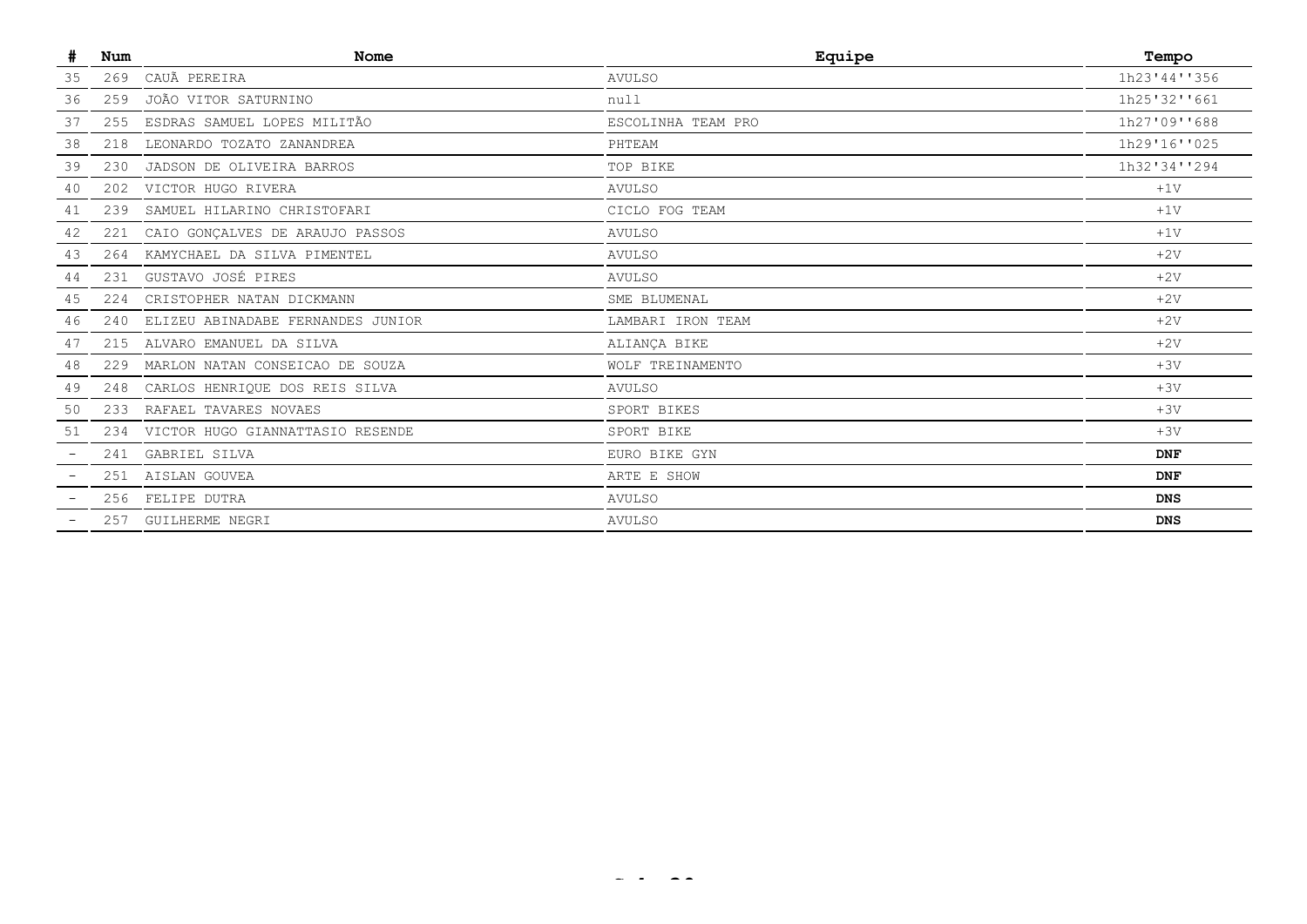| #  | Num | <b>Nome</b>                          | Equipe             | Tempo        |
|----|-----|--------------------------------------|--------------------|--------------|
| 35 | 269 | CAUÃ PEREIRA                         | <b>AVULSO</b>      | 1h23'44''356 |
| 36 | 259 | JOÃO VITOR SATURNINO                 | null               | 1h25'32''661 |
| 37 | 255 | ESDRAS SAMUEL LOPES MILITÃO          | ESCOLINHA TEAM PRO | 1h27'09''688 |
| 38 |     | 218 LEONARDO TOZATO ZANANDREA        | PHTEAM             | 1h29'16''025 |
| 39 | 230 | JADSON DE OLIVEIRA BARROS            | TOP BIKE           | 1h32'34''294 |
| 40 |     | 202 VICTOR HUGO RIVERA               | <b>AVULSO</b>      | $+1V$        |
| 41 | 239 | SAMUEL HILARINO CHRISTOFARI          | CICLO FOG TEAM     | $+1V$        |
| 42 | 221 | CAIO GONÇALVES DE ARAUJO PASSOS      | <b>AVULSO</b>      | $+1V$        |
| 43 | 264 | KAMYCHAEL DA SILVA PIMENTEL          | <b>AVULSO</b>      | $+2V$        |
| 44 | 231 | GUSTAVO JOSÉ PIRES                   | <b>AVULSO</b>      | $+2V$        |
| 45 | 224 | CRISTOPHER NATAN DICKMANN            | SME BLUMENAL       | $+2V$        |
| 46 | 240 | ELIZEU ABINADABE FERNANDES JUNIOR    | LAMBARI IRON TEAM  | $+2V$        |
| 47 | 215 | ALVARO EMANUEL DA SILVA              | ALIANÇA BIKE       | $+2V$        |
| 48 | 229 | MARLON NATAN CONSEICAO DE SOUZA      | WOLF TREINAMENTO   | $+3V$        |
| 49 | 248 | CARLOS HENRIQUE DOS REIS SILVA       | <b>AVULSO</b>      | $+3V$        |
| 50 |     | 233 RAFAEL TAVARES NOVAES            | SPORT BIKES        | $+3V$        |
| 51 |     | 234 VICTOR HUGO GIANNATTASIO RESENDE | SPORT BIKE         | $+3V$        |
|    |     | 241 GABRIEL SILVA                    | EURO BIKE GYN      | <b>DNF</b>   |
|    |     | 251 AISLAN GOUVEA                    | ARTE E SHOW        | <b>DNF</b>   |
|    |     | 256 FELIPE DUTRA                     | <b>AVULSO</b>      | <b>DNS</b>   |
|    |     | 257 GUILHERME NEGRI                  | <b>AVULSO</b>      | <b>DNS</b>   |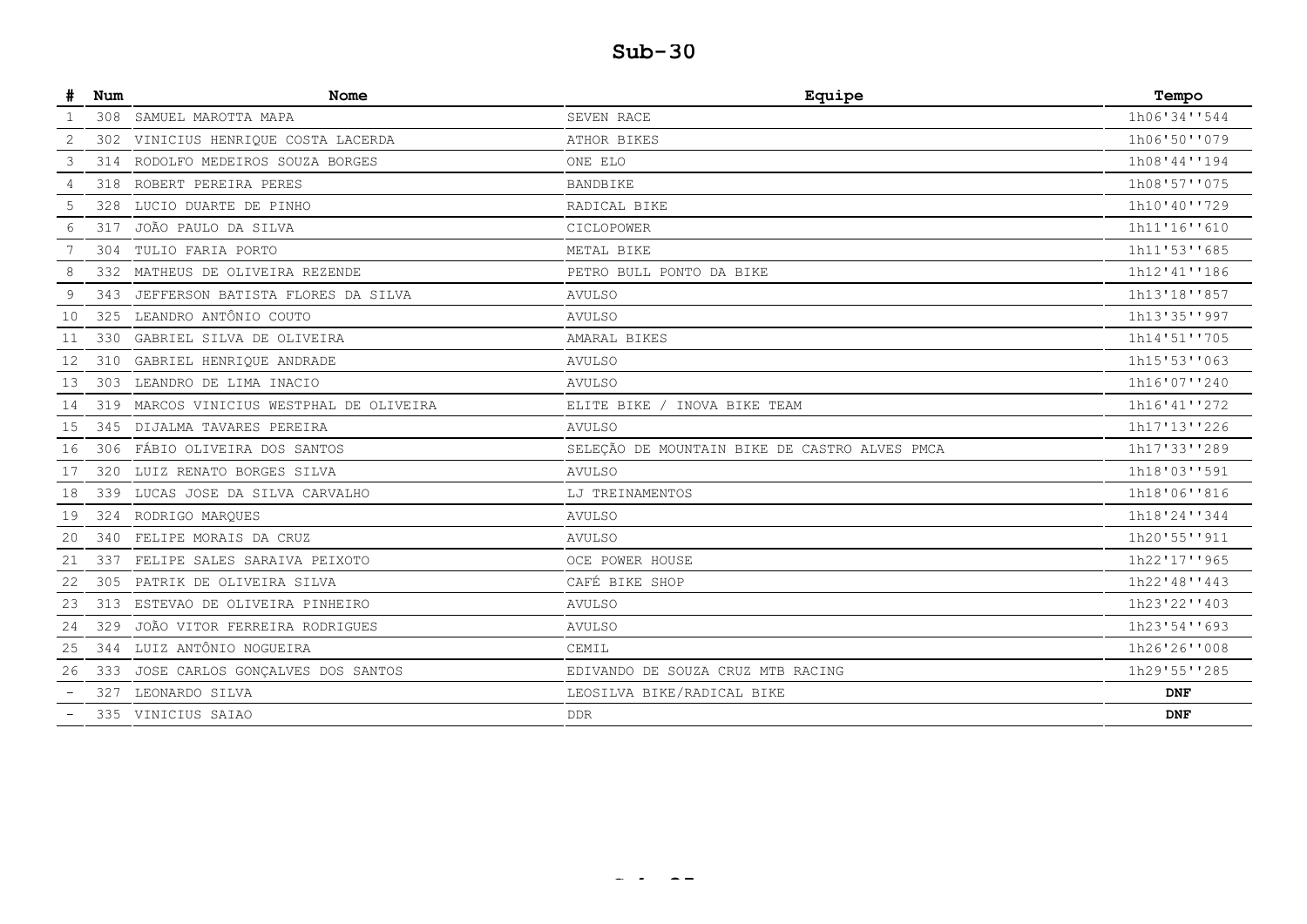| 308 SAMUEL MAROTTA MAPA<br>SEVEN RACE<br>VINICIUS HENRIQUE COSTA LACERDA<br>ATHOR BIKES<br>2<br>302<br>3<br>RODOLFO MEDEIROS SOUZA BORGES<br>ONE ELO<br>314<br>ROBERT PEREIRA PERES<br>318<br>BANDBIKE<br>4<br>LUCIO DUARTE DE PINHO<br>5<br>328<br>RADICAL BIKE<br>JOÃO PAULO DA SILVA<br>6<br>317<br>CICLOPOWER<br>304 TULIO FARIA PORTO<br>METAL BIKE<br>8<br>MATHEUS DE OLIVEIRA REZENDE<br>PETRO BULL PONTO DA BIKE<br>332<br>JEFFERSON BATISTA FLORES DA SILVA<br>9<br>343<br>AVULSO<br>LEANDRO ANTÔNIO COUTO<br>10<br>325<br><b>AVULSO</b><br>330 GABRIEL SILVA DE OLIVEIRA<br>AMARAL BIKES<br>11<br>12<br>310 GABRIEL HENRIQUE ANDRADE<br><b>AVULSO</b><br>303 LEANDRO DE LIMA INACIO<br>13<br><b>AVULSO</b><br>319 MARCOS VINICIUS WESTPHAL DE OLIVEIRA<br>ELITE BIKE / INOVA BIKE TEAM<br>14<br>DIJALMA TAVARES PEREIRA<br>15<br>345<br><b>AVULSO</b><br>306 FÁBIO OLIVEIRA DOS SANTOS<br>SELEÇÃO DE MOUNTAIN BIKE DE CASTRO ALVES PMCA<br>16<br>LUIZ RENATO BORGES SILVA<br>17<br>320<br><b>AVULSO</b><br>339 LUCAS JOSE DA SILVA CARVALHO<br>LJ TREINAMENTOS<br>18<br>324 RODRIGO MARQUES<br>19<br>AVULSO<br>340 FELIPE MORAIS DA CRUZ<br>20<br><b>AVULSO</b><br>337<br>FELIPE SALES SARAIVA PEIXOTO<br>OCE POWER HOUSE<br>21<br>CAFÉ BIKE SHOP<br>PATRIK DE OLIVEIRA SILVA<br>22<br>305<br>313 ESTEVAO DE OLIVEIRA PINHEIRO<br>23<br><b>AVULSO</b><br>JOÃO VITOR FERREIRA RODRIGUES<br>329<br><b>AVULSO</b><br>24<br>344 LUIZ ANTÔNIO NOGUEIRA<br>CEMIL<br>25<br>26<br>333<br>JOSE CARLOS GONÇALVES DOS SANTOS<br>EDIVANDO DE SOUZA CRUZ MTB RACING<br>LEONARDO SILVA<br>LEOSILVA BIKE/RADICAL BIKE<br>327<br>335 VINICIUS SAIAO<br><b>DDR</b> | Num | Nome | Equipe | Tempo        |
|-------------------------------------------------------------------------------------------------------------------------------------------------------------------------------------------------------------------------------------------------------------------------------------------------------------------------------------------------------------------------------------------------------------------------------------------------------------------------------------------------------------------------------------------------------------------------------------------------------------------------------------------------------------------------------------------------------------------------------------------------------------------------------------------------------------------------------------------------------------------------------------------------------------------------------------------------------------------------------------------------------------------------------------------------------------------------------------------------------------------------------------------------------------------------------------------------------------------------------------------------------------------------------------------------------------------------------------------------------------------------------------------------------------------------------------------------------------------------------------------------------------------------------------------------------------------------------------------------------------------------------------------------------------|-----|------|--------|--------------|
|                                                                                                                                                                                                                                                                                                                                                                                                                                                                                                                                                                                                                                                                                                                                                                                                                                                                                                                                                                                                                                                                                                                                                                                                                                                                                                                                                                                                                                                                                                                                                                                                                                                             |     |      |        | 1h06'34''544 |
|                                                                                                                                                                                                                                                                                                                                                                                                                                                                                                                                                                                                                                                                                                                                                                                                                                                                                                                                                                                                                                                                                                                                                                                                                                                                                                                                                                                                                                                                                                                                                                                                                                                             |     |      |        | 1h06'50''079 |
|                                                                                                                                                                                                                                                                                                                                                                                                                                                                                                                                                                                                                                                                                                                                                                                                                                                                                                                                                                                                                                                                                                                                                                                                                                                                                                                                                                                                                                                                                                                                                                                                                                                             |     |      |        | 1h08'44''194 |
|                                                                                                                                                                                                                                                                                                                                                                                                                                                                                                                                                                                                                                                                                                                                                                                                                                                                                                                                                                                                                                                                                                                                                                                                                                                                                                                                                                                                                                                                                                                                                                                                                                                             |     |      |        | 1h08'57''075 |
|                                                                                                                                                                                                                                                                                                                                                                                                                                                                                                                                                                                                                                                                                                                                                                                                                                                                                                                                                                                                                                                                                                                                                                                                                                                                                                                                                                                                                                                                                                                                                                                                                                                             |     |      |        | 1h10'40''729 |
|                                                                                                                                                                                                                                                                                                                                                                                                                                                                                                                                                                                                                                                                                                                                                                                                                                                                                                                                                                                                                                                                                                                                                                                                                                                                                                                                                                                                                                                                                                                                                                                                                                                             |     |      |        | 1h11'16''610 |
|                                                                                                                                                                                                                                                                                                                                                                                                                                                                                                                                                                                                                                                                                                                                                                                                                                                                                                                                                                                                                                                                                                                                                                                                                                                                                                                                                                                                                                                                                                                                                                                                                                                             |     |      |        | 1h11'53''685 |
|                                                                                                                                                                                                                                                                                                                                                                                                                                                                                                                                                                                                                                                                                                                                                                                                                                                                                                                                                                                                                                                                                                                                                                                                                                                                                                                                                                                                                                                                                                                                                                                                                                                             |     |      |        | 1h12'41''186 |
|                                                                                                                                                                                                                                                                                                                                                                                                                                                                                                                                                                                                                                                                                                                                                                                                                                                                                                                                                                                                                                                                                                                                                                                                                                                                                                                                                                                                                                                                                                                                                                                                                                                             |     |      |        | 1h13'18''857 |
|                                                                                                                                                                                                                                                                                                                                                                                                                                                                                                                                                                                                                                                                                                                                                                                                                                                                                                                                                                                                                                                                                                                                                                                                                                                                                                                                                                                                                                                                                                                                                                                                                                                             |     |      |        | 1h13'35''997 |
|                                                                                                                                                                                                                                                                                                                                                                                                                                                                                                                                                                                                                                                                                                                                                                                                                                                                                                                                                                                                                                                                                                                                                                                                                                                                                                                                                                                                                                                                                                                                                                                                                                                             |     |      |        | 1h14'51''705 |
|                                                                                                                                                                                                                                                                                                                                                                                                                                                                                                                                                                                                                                                                                                                                                                                                                                                                                                                                                                                                                                                                                                                                                                                                                                                                                                                                                                                                                                                                                                                                                                                                                                                             |     |      |        | 1h15'53''063 |
|                                                                                                                                                                                                                                                                                                                                                                                                                                                                                                                                                                                                                                                                                                                                                                                                                                                                                                                                                                                                                                                                                                                                                                                                                                                                                                                                                                                                                                                                                                                                                                                                                                                             |     |      |        | 1h16'07''240 |
|                                                                                                                                                                                                                                                                                                                                                                                                                                                                                                                                                                                                                                                                                                                                                                                                                                                                                                                                                                                                                                                                                                                                                                                                                                                                                                                                                                                                                                                                                                                                                                                                                                                             |     |      |        | 1h16'41''272 |
|                                                                                                                                                                                                                                                                                                                                                                                                                                                                                                                                                                                                                                                                                                                                                                                                                                                                                                                                                                                                                                                                                                                                                                                                                                                                                                                                                                                                                                                                                                                                                                                                                                                             |     |      |        | 1h17'13''226 |
|                                                                                                                                                                                                                                                                                                                                                                                                                                                                                                                                                                                                                                                                                                                                                                                                                                                                                                                                                                                                                                                                                                                                                                                                                                                                                                                                                                                                                                                                                                                                                                                                                                                             |     |      |        | 1h17'33''289 |
|                                                                                                                                                                                                                                                                                                                                                                                                                                                                                                                                                                                                                                                                                                                                                                                                                                                                                                                                                                                                                                                                                                                                                                                                                                                                                                                                                                                                                                                                                                                                                                                                                                                             |     |      |        | 1h18'03''591 |
|                                                                                                                                                                                                                                                                                                                                                                                                                                                                                                                                                                                                                                                                                                                                                                                                                                                                                                                                                                                                                                                                                                                                                                                                                                                                                                                                                                                                                                                                                                                                                                                                                                                             |     |      |        | 1h18'06''816 |
|                                                                                                                                                                                                                                                                                                                                                                                                                                                                                                                                                                                                                                                                                                                                                                                                                                                                                                                                                                                                                                                                                                                                                                                                                                                                                                                                                                                                                                                                                                                                                                                                                                                             |     |      |        | 1h18'24''344 |
|                                                                                                                                                                                                                                                                                                                                                                                                                                                                                                                                                                                                                                                                                                                                                                                                                                                                                                                                                                                                                                                                                                                                                                                                                                                                                                                                                                                                                                                                                                                                                                                                                                                             |     |      |        | 1h20'55''911 |
|                                                                                                                                                                                                                                                                                                                                                                                                                                                                                                                                                                                                                                                                                                                                                                                                                                                                                                                                                                                                                                                                                                                                                                                                                                                                                                                                                                                                                                                                                                                                                                                                                                                             |     |      |        | 1h22'17''965 |
|                                                                                                                                                                                                                                                                                                                                                                                                                                                                                                                                                                                                                                                                                                                                                                                                                                                                                                                                                                                                                                                                                                                                                                                                                                                                                                                                                                                                                                                                                                                                                                                                                                                             |     |      |        | 1h22'48''443 |
|                                                                                                                                                                                                                                                                                                                                                                                                                                                                                                                                                                                                                                                                                                                                                                                                                                                                                                                                                                                                                                                                                                                                                                                                                                                                                                                                                                                                                                                                                                                                                                                                                                                             |     |      |        | 1h23'22''403 |
|                                                                                                                                                                                                                                                                                                                                                                                                                                                                                                                                                                                                                                                                                                                                                                                                                                                                                                                                                                                                                                                                                                                                                                                                                                                                                                                                                                                                                                                                                                                                                                                                                                                             |     |      |        | 1h23'54''693 |
|                                                                                                                                                                                                                                                                                                                                                                                                                                                                                                                                                                                                                                                                                                                                                                                                                                                                                                                                                                                                                                                                                                                                                                                                                                                                                                                                                                                                                                                                                                                                                                                                                                                             |     |      |        | 1h26'26''008 |
|                                                                                                                                                                                                                                                                                                                                                                                                                                                                                                                                                                                                                                                                                                                                                                                                                                                                                                                                                                                                                                                                                                                                                                                                                                                                                                                                                                                                                                                                                                                                                                                                                                                             |     |      |        | 1h29'55''285 |
|                                                                                                                                                                                                                                                                                                                                                                                                                                                                                                                                                                                                                                                                                                                                                                                                                                                                                                                                                                                                                                                                                                                                                                                                                                                                                                                                                                                                                                                                                                                                                                                                                                                             |     |      |        | <b>DNF</b>   |
|                                                                                                                                                                                                                                                                                                                                                                                                                                                                                                                                                                                                                                                                                                                                                                                                                                                                                                                                                                                                                                                                                                                                                                                                                                                                                                                                                                                                                                                                                                                                                                                                                                                             |     |      |        | <b>DNF</b>   |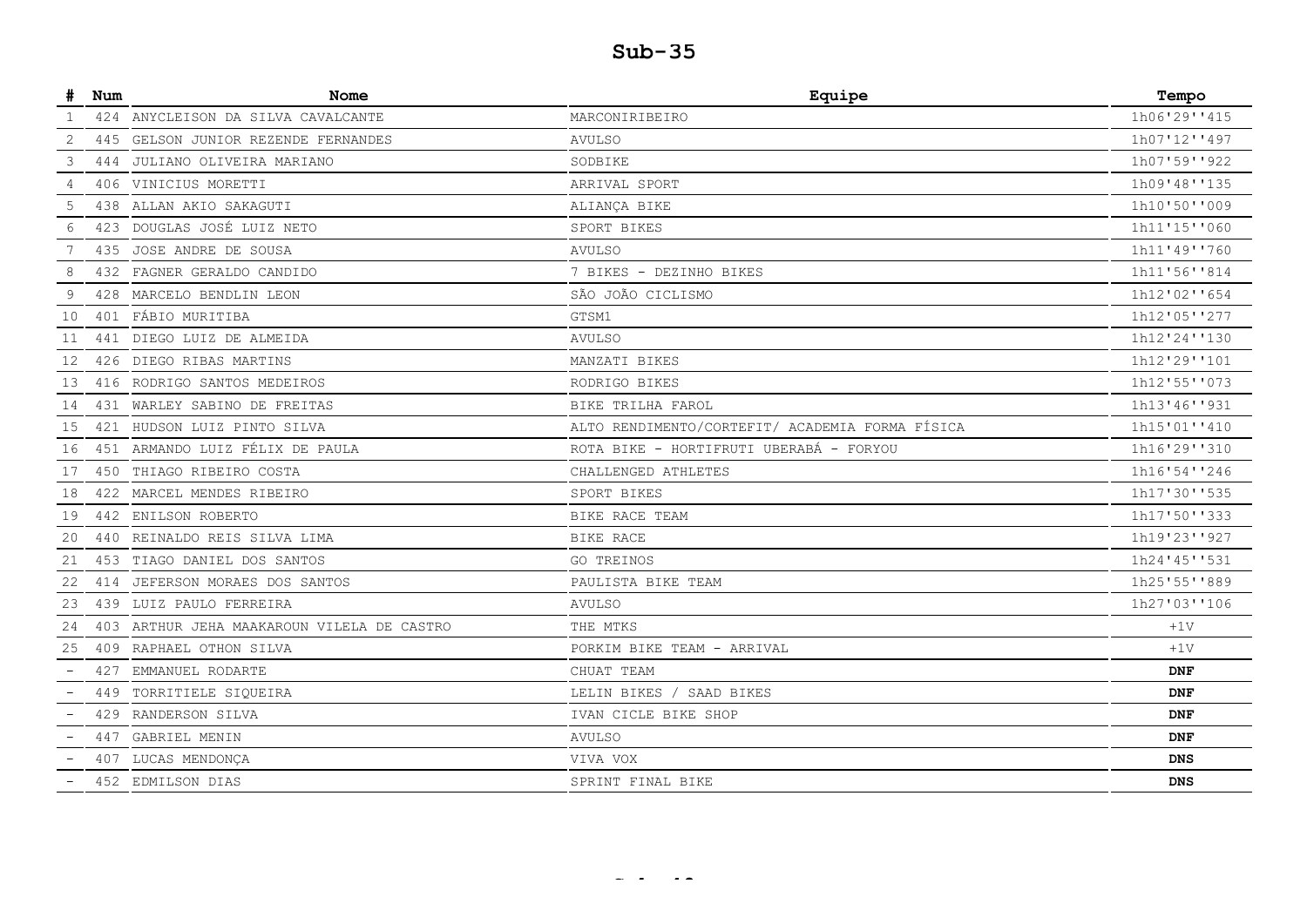| #  | Num | Nome                                   | Equipe                                          | Tempo        |
|----|-----|----------------------------------------|-------------------------------------------------|--------------|
| -1 |     | 424 ANYCLEISON DA SILVA CAVALCANTE     | MARCONIRIBEIRO                                  | 1h06'29''415 |
| 2  | 445 | GELSON JUNIOR REZENDE FERNANDES        | <b>AVULSO</b>                                   | 1h07'12''497 |
| 3  | 444 | JULIANO OLIVEIRA MARIANO               | SODBIKE                                         | 1h07'59''922 |
| 4  |     | 406 VINICIUS MORETTI                   | ARRIVAL SPORT                                   | 1h09'48''135 |
| 5  | 438 | ALLAN AKIO SAKAGUTI                    | ALIANÇA BIKE                                    | 1h10'50''009 |
| 6  | 423 | DOUGLAS JOSÉ LUIZ NETO                 | SPORT BIKES                                     | 1h11'15''060 |
| 7  | 435 | JOSE ANDRE DE SOUSA                    | <b>AVULSO</b>                                   | 1h11'49''760 |
| 8  | 432 | FAGNER GERALDO CANDIDO                 | 7 BIKES - DEZINHO BIKES                         | 1h11'56''814 |
| 9  | 428 | MARCELO BENDLIN LEON                   | SÃO JOÃO CICLISMO                               | 1h12'02''654 |
| 10 |     | 401 FÁBIO MURITIBA                     | GTSM1                                           | 1h12'05''277 |
| 11 | 441 | DIEGO LUIZ DE ALMEIDA                  | <b>AVULSO</b>                                   | 1h12'24''130 |
| 12 | 426 | DIEGO RIBAS MARTINS                    | MANZATI BIKES                                   | 1h12'29''101 |
| 13 |     | 416 RODRIGO SANTOS MEDEIROS            | RODRIGO BIKES                                   | 1h12'55''073 |
| 14 | 431 | WARLEY SABINO DE FREITAS               | BIKE TRILHA FAROL                               | 1h13'46''931 |
| 15 |     | 421 HUDSON LUIZ PINTO SILVA            | ALTO RENDIMENTO/CORTEFIT/ ACADEMIA FORMA FÍSICA | 1h15'01''410 |
| 16 |     | 451 ARMANDO LUIZ FÉLIX DE PAULA        | ROTA BIKE - HORTIFRUTI UBERABÁ - FORYOU         | 1h16'29''310 |
| 17 |     | 450 THIAGO RIBEIRO COSTA               | CHALLENGED ATHLETES                             | 1h16'54''246 |
| 18 |     | 422 MARCEL MENDES RIBEIRO              | SPORT BIKES                                     | 1h17'30''535 |
| 19 |     | 442 ENILSON ROBERTO                    | BIKE RACE TEAM                                  | 1h17'50''333 |
| 20 | 440 | REINALDO REIS SILVA LIMA               | BIKE RACE                                       | 1h19'23''927 |
| 21 |     | 453 TIAGO DANIEL DOS SANTOS            | GO TREINOS                                      | 1h24'45''531 |
| 22 |     | 414 JEFERSON MORAES DOS SANTOS         | PAULISTA BIKE TEAM                              | 1h25'55''889 |
| 23 |     | 439 LUIZ PAULO FERREIRA                | <b>AVULSO</b>                                   | 1h27'03''106 |
| 24 | 403 | ARTHUR JEHA MAAKAROUN VILELA DE CASTRO | THE MTKS                                        | $+1V$        |
| 25 |     | 409 RAPHAEL OTHON SILVA                | PORKIM BIKE TEAM - ARRIVAL                      | $+1V$        |
|    | 427 | EMMANUEL RODARTE                       | CHUAT TEAM                                      | <b>DNF</b>   |
|    |     | 449 TORRITIELE SIQUEIRA                | LELIN BIKES /<br>SAAD BIKES                     | <b>DNF</b>   |
|    |     | 429 RANDERSON SILVA                    | IVAN CICLE BIKE SHOP                            | <b>DNF</b>   |
|    | 447 | GABRIEL MENIN                          | <b>AVULSO</b>                                   | <b>DNF</b>   |
|    |     | 407 LUCAS MENDONÇA                     | VIVA VOX                                        | <b>DNS</b>   |
|    |     | 452 EDMILSON DIAS                      | SPRINT FINAL BIKE                               | <b>DNS</b>   |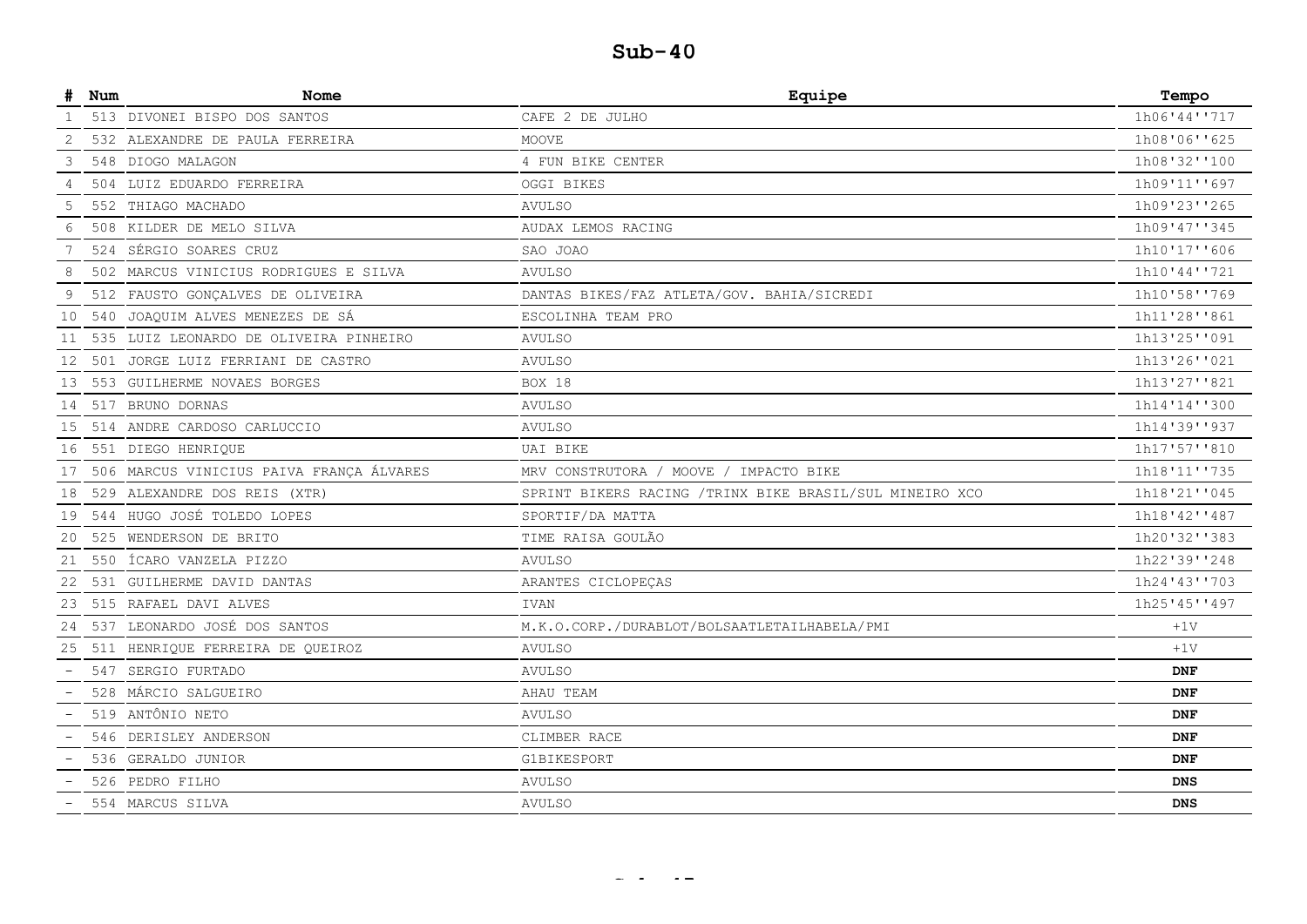| #                        | Num | Nome                                     | Equipe                                                   | Tempo        |
|--------------------------|-----|------------------------------------------|----------------------------------------------------------|--------------|
|                          |     | 513 DIVONEI BISPO DOS SANTOS             | CAFE 2 DE JULHO                                          | 1h06'44''717 |
| 2                        |     | 532 ALEXANDRE DE PAULA FERREIRA          | MOOVE                                                    | 1h08'06''625 |
| 3                        |     | 548 DIOGO MALAGON                        | 4 FUN BIKE CENTER                                        | 1h08'32''100 |
| 4                        |     | 504 LUIZ EDUARDO FERREIRA                | <b>OGGI BIKES</b>                                        | 1h09'11''697 |
| 5                        |     | 552 THIAGO MACHADO                       | <b>AVULSO</b>                                            | 1h09'23''265 |
| 6                        |     | 508 KILDER DE MELO SILVA                 | AUDAX LEMOS RACING                                       | 1h09'47''345 |
| 7                        |     | 524 SÉRGIO SOARES CRUZ                   | SAO JOAO                                                 | 1h10'17''606 |
| 8                        |     | 502 MARCUS VINICIUS RODRIGUES E SILVA    | <b>AVULSO</b>                                            | 1h10'44''721 |
| 9                        |     | 512 FAUSTO GONÇALVES DE OLIVEIRA         | DANTAS BIKES/FAZ ATLETA/GOV. BAHIA/SICREDI               | 1h10'58''769 |
| 10                       |     | 540 JOAQUIM ALVES MENEZES DE SÁ          | ESCOLINHA TEAM PRO                                       | 1h11'28''861 |
| 11                       |     | 535 LUIZ LEONARDO DE OLIVEIRA PINHEIRO   | <b>AVULSO</b>                                            | 1h13'25''091 |
| 12                       |     | 501 JORGE LUIZ FERRIANI DE CASTRO        | <b>AVULSO</b>                                            | 1h13'26''021 |
| 13                       |     | 553 GUILHERME NOVAES BORGES              | BOX 18                                                   | 1h13'27''821 |
| 14                       |     | 517 BRUNO DORNAS                         | <b>AVULSO</b>                                            | 1h14'14''300 |
| 15                       |     | 514 ANDRE CARDOSO CARLUCCIO              | <b>AVULSO</b>                                            | 1h14'39''937 |
| 16                       |     | 551 DIEGO HENRIQUE                       | UAI BIKE                                                 | 1h17'57''810 |
| 17                       |     | 506 MARCUS VINICIUS PAIVA FRANÇA ÁLVARES | MRV CONSTRUTORA / MOOVE / IMPACTO BIKE                   | 1h18'11''735 |
| 18                       |     | 529 ALEXANDRE DOS REIS (XTR)             | SPRINT BIKERS RACING / TRINX BIKE BRASIL/SUL MINEIRO XCO | 1h18'21''045 |
| 19                       |     | 544 HUGO JOSÉ TOLEDO LOPES               | SPORTIF/DA MATTA                                         | 1h18'42''487 |
| 20                       |     | 525 WENDERSON DE BRITO                   | TIME RAISA GOULÃO                                        | 1h20'32''383 |
| 21                       |     | 550 ÍCARO VANZELA PIZZO                  | <b>AVULSO</b>                                            | 1h22'39''248 |
| 22                       |     | 531 GUILHERME DAVID DANTAS               | ARANTES CICLOPEÇAS                                       | 1h24'43''703 |
| 23                       |     | 515 RAFAEL DAVI ALVES                    | <b>IVAN</b>                                              | 1h25'45''497 |
| 24                       |     | 537 LEONARDO JOSÉ DOS SANTOS             | M.K.O.CORP./DURABLOT/BOLSAATLETAILHABELA/PMI             | $+1V$        |
| 25                       |     | 511 HENRIQUE FERREIRA DE QUEIROZ         | <b>AVULSO</b>                                            | $+1V$        |
|                          |     | 547 SERGIO FURTADO                       | <b>AVULSO</b>                                            | <b>DNF</b>   |
|                          | 528 | MÁRCIO SALGUEIRO                         | AHAU TEAM                                                | <b>DNF</b>   |
|                          |     | 519 ANTÔNIO NETO                         | <b>AVULSO</b>                                            | <b>DNF</b>   |
|                          |     | 546 DERISLEY ANDERSON                    | CLIMBER RACE                                             | <b>DNF</b>   |
|                          |     | 536 GERALDO JUNIOR                       | <b>G1BIKESPORT</b>                                       | <b>DNF</b>   |
|                          |     | 526 PEDRO FILHO                          | <b>AVULSO</b>                                            | <b>DNS</b>   |
| $\overline{\phantom{a}}$ |     | 554 MARCUS SILVA                         | <b>AVULSO</b>                                            | <b>DNS</b>   |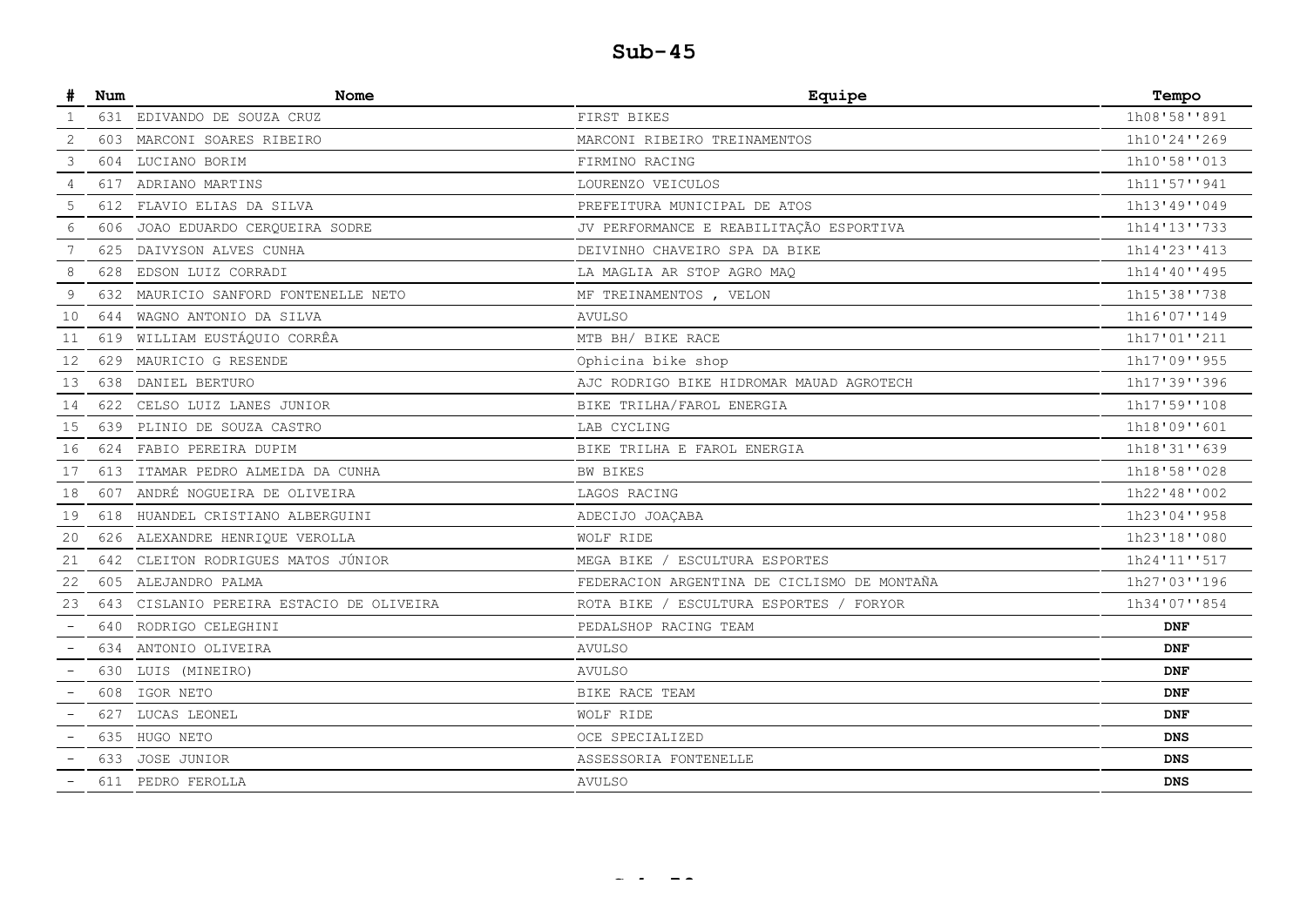|    | Num  | Nome                                     | Equipe                                      | Tempo        |
|----|------|------------------------------------------|---------------------------------------------|--------------|
|    |      | 631 EDIVANDO DE SOUZA CRUZ               | FIRST BIKES                                 | 1h08'58''891 |
| 2  |      | 603 MARCONI SOARES RIBEIRO               | MARCONI RIBEIRO TREINAMENTOS                | 1h10'24''269 |
| 3  |      | 604 LUCIANO BORIM                        | FIRMINO RACING                              | 1h10'58''013 |
| 4  |      | 617 ADRIANO MARTINS                      | LOURENZO VEICULOS                           | 1h11'57''941 |
| 5  |      | 612 FLAVIO ELIAS DA SILVA                | PREFEITURA MUNICIPAL DE ATOS                | 1h13'49''049 |
| 6  | 606  | JOAO EDUARDO CEROUEIRA SODRE             | JV PERFORMANCE E REABILITAÇÃO ESPORTIVA     | 1h14'13''733 |
| 7  | 625. | DAIVYSON ALVES CUNHA                     | DEIVINHO CHAVEIRO SPA DA BIKE               | 1h14'23''413 |
| 8  | 628  | EDSON LUIZ CORRADI                       | LA MAGLIA AR STOP AGRO MAO                  | 1h14'40''495 |
| 9  | 632  | MAURICIO SANFORD FONTENELLE NETO         | MF TREINAMENTOS, VELON                      | 1h15'38''738 |
| 10 |      | 644 WAGNO ANTONIO DA SILVA               | <b>AVULSO</b>                               | 1h16'07''149 |
| 11 |      | 619 WILLIAM EUSTÁQUIO CORRÊA             | MTB BH/ BIKE RACE                           | 1h17'01''211 |
| 12 | 629  | MAURICIO G RESENDE                       | Ophicina bike shop                          | 1h17'09''955 |
| 13 |      | 638 DANIEL BERTURO                       | AJC RODRIGO BIKE HIDROMAR MAUAD AGROTECH    | 1h17'39''396 |
| 14 | 622  | CELSO LUIZ LANES JUNIOR                  | BIKE TRILHA/FAROL ENERGIA                   | 1h17'59''108 |
| 15 | 639  | PLINIO DE SOUZA CASTRO                   | LAB CYCLING                                 | 1h18'09''601 |
| 16 |      | 624 FABIO PEREIRA DUPIM                  | BIKE TRILHA E FAROL ENERGIA                 | 1h18'31''639 |
| 17 |      | 613 ITAMAR PEDRO ALMEIDA DA CUNHA        | BW BIKES                                    | 1h18'58''028 |
| 18 | 607  | ANDRÉ NOGUEIRA DE OLIVEIRA               | LAGOS RACING                                | 1h22'48''002 |
| 19 |      | 618 HUANDEL CRISTIANO ALBERGUINI         | ADECIJO JOAÇABA                             | 1h23'04''958 |
| 20 |      | 626 ALEXANDRE HENRIQUE VEROLLA           | WOLF RIDE                                   | 1h23'18''080 |
| 21 |      | 642 CLEITON RODRIGUES MATOS JÚNIOR       | MEGA BIKE / ESCULTURA ESPORTES              | 1h24'11''517 |
| 22 |      | 605 ALEJANDRO PALMA                      | FEDERACION ARGENTINA DE CICLISMO DE MONTAÑA | 1h27'03''196 |
| 23 |      | 643 CISLANIO PEREIRA ESTACIO DE OLIVEIRA | ROTA BIKE / ESCULTURA ESPORTES / FORYOR     | 1h34'07''854 |
|    |      | 640 RODRIGO CELEGHINI                    | PEDALSHOP RACING TEAM                       | <b>DNF</b>   |
|    |      | 634 ANTONIO OLIVEIRA                     | <b>AVULSO</b>                               | <b>DNF</b>   |
|    | 630  | LUIS (MINEIRO)                           | AVULSO                                      | <b>DNF</b>   |
|    | 608  | IGOR NETO                                | BIKE RACE TEAM                              | <b>DNF</b>   |
|    | 627  | LUCAS LEONEL                             | WOLF RIDE                                   | <b>DNF</b>   |
|    | 635  | HUGO NETO                                | OCE SPECIALIZED                             | <b>DNS</b>   |
|    |      | 633 JOSE JUNIOR                          | ASSESSORIA FONTENELLE                       | <b>DNS</b>   |
|    | 611  | PEDRO FEROLLA                            | <b>AVULSO</b>                               | <b>DNS</b>   |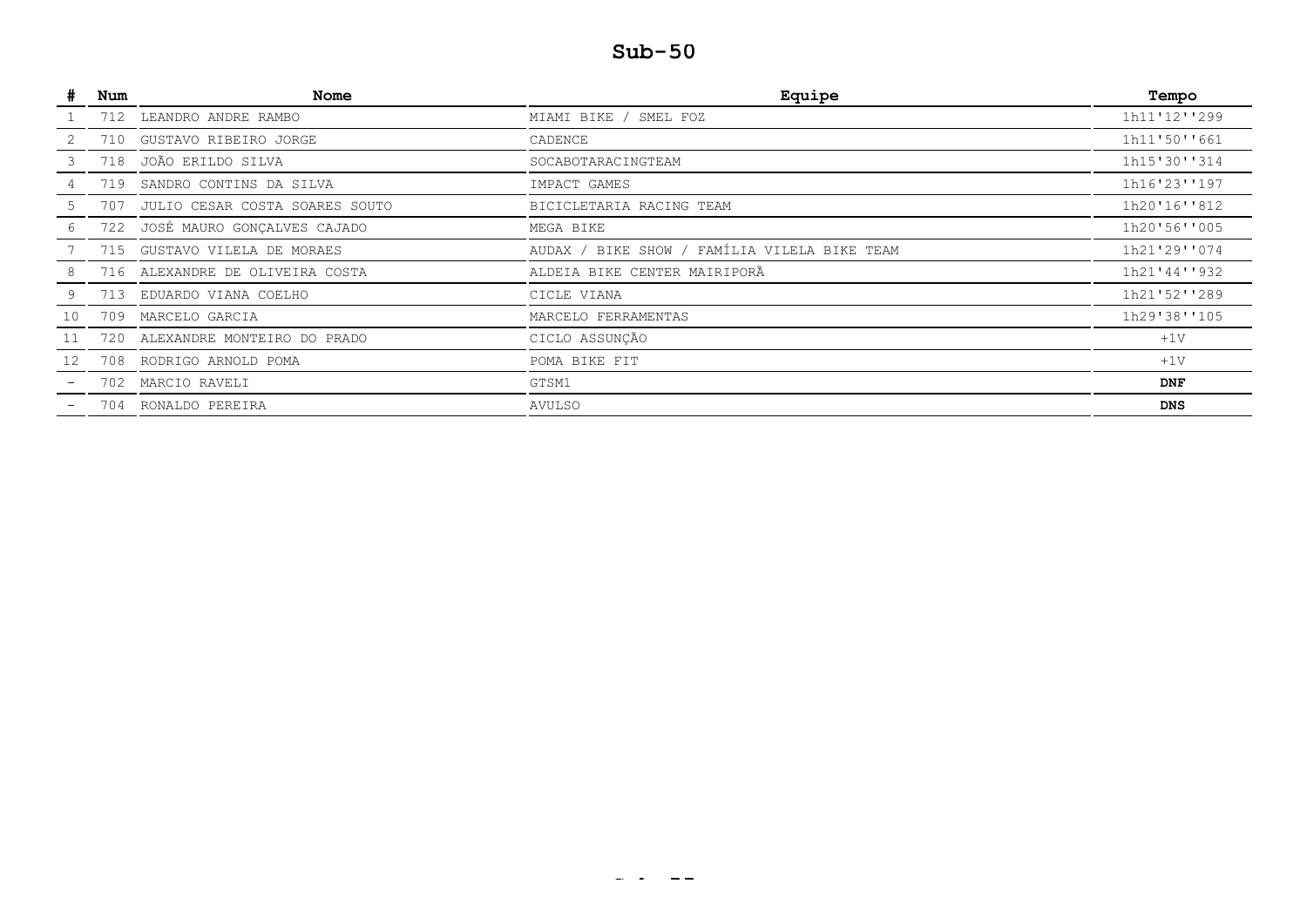| #  | Num | Nome                               | Equipe                                       | Tempo        |
|----|-----|------------------------------------|----------------------------------------------|--------------|
|    |     | 712 LEANDRO ANDRE RAMBO            | MIAMI BIKE / SMEL FOZ                        | 1h11'12''299 |
|    | 710 | GUSTAVO RIBEIRO JORGE              | CADENCE                                      | 1h11'50''661 |
| 3. |     | 718 JOÃO ERILDO SILVA              | SOCABOTARACINGTEAM                           | 1h15'30''314 |
|    | 719 | SANDRO CONTINS DA SILVA            | IMPACT GAMES                                 | 1h16'23''197 |
|    |     | 707 JULIO CESAR COSTA SOARES SOUTO | BICICLETARIA RACING TEAM                     | 1h20'16''812 |
|    |     | 722 JOSÉ MAURO GONÇALVES CAJADO    | MEGA BIKE                                    | 1h20'56''005 |
|    |     | 715 GUSTAVO VILELA DE MORAES       | AUDAX / BIKE SHOW / FAMÍLIA VILELA BIKE TEAM | 1h21'29''074 |
| 8  |     | 716 ALEXANDRE DE OLIVEIRA COSTA    | ALDEIA BIKE CENTER MAIRIPORÃ                 | 1h21'44''932 |
| 9  |     | 713 EDUARDO VIANA COELHO           | CICLE VIANA                                  | 1h21'52''289 |
| 10 | 709 | MARCELO GARCIA                     | MARCELO FERRAMENTAS                          | 1h29'38''105 |
| 11 |     | 720 ALEXANDRE MONTEIRO DO PRADO    | CICLO ASSUNÇÃO                               | $+1V$        |
| 12 |     | 708 RODRIGO ARNOLD POMA            | POMA BIKE FIT                                | $+1V$        |
|    |     | 702 MARCIO RAVELI                  | GTSM1                                        | <b>DNF</b>   |
|    |     | 704 RONALDO PEREIRA                | AVULSO                                       | <b>DNS</b>   |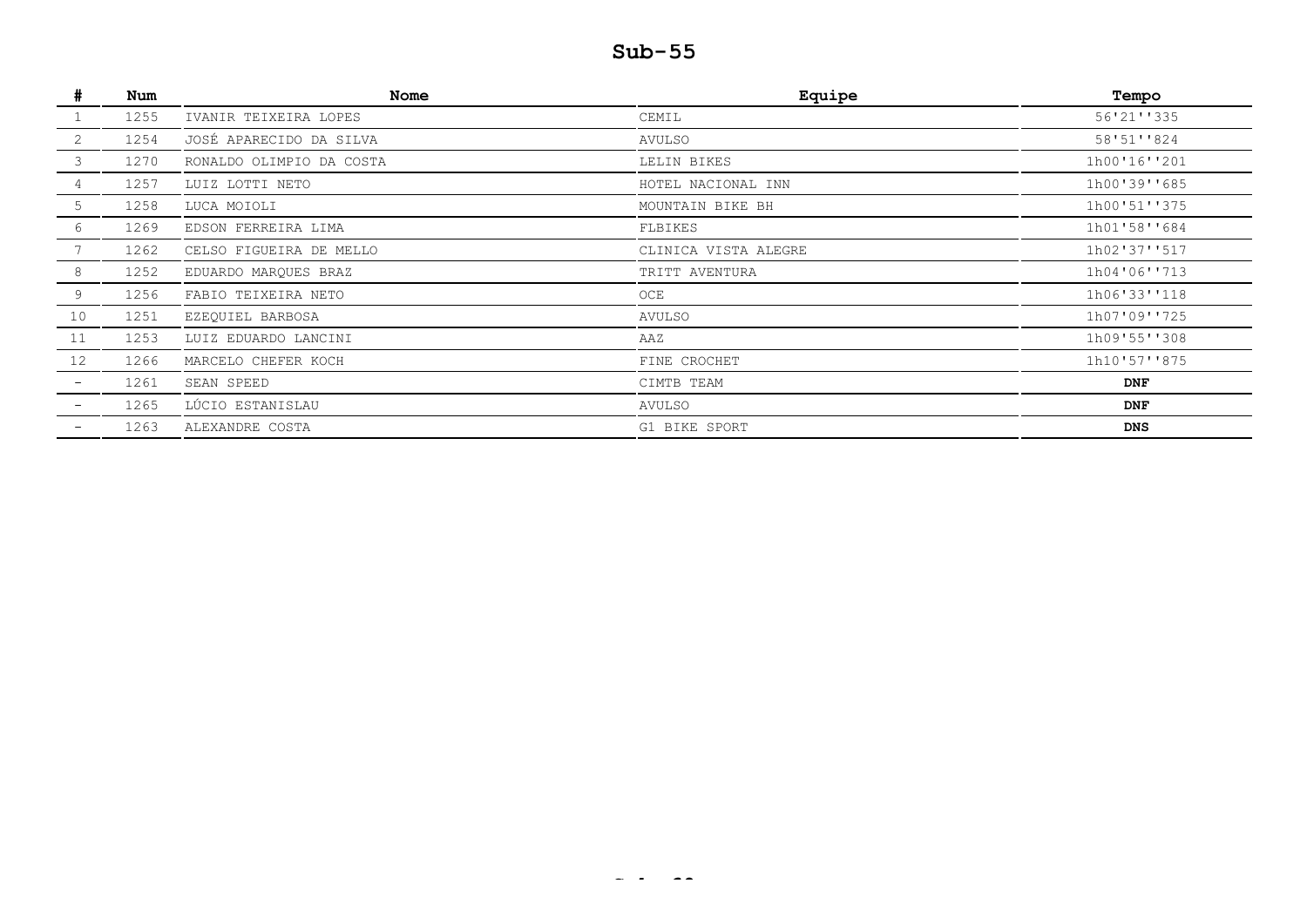|    | Num  | <b>Nome</b>              | Equipe               | Tempo        |
|----|------|--------------------------|----------------------|--------------|
|    | 1255 | IVANIR TEIXEIRA LOPES    | CEMIL                | 56'21''335   |
| 2  | 1254 | JOSÉ APARECIDO DA SILVA  | AVULSO               | 58'51''824   |
| 3  | 1270 | RONALDO OLIMPIO DA COSTA | LELIN BIKES          | 1h00'16''201 |
|    | 1257 | LUIZ LOTTI NETO          | HOTEL NACIONAL INN   | 1h00'39''685 |
| 5  | 1258 | LUCA MOIOLI              | MOUNTAIN BIKE BH     | 1h00'51''375 |
| 6  | 1269 | EDSON FERREIRA LIMA      | FLBIKES              | 1h01'58''684 |
|    | 1262 | CELSO FIGUEIRA DE MELLO  | CLINICA VISTA ALEGRE | 1h02'37''517 |
| 8  | 1252 | EDUARDO MARQUES BRAZ     | TRITT AVENTURA       | 1h04'06''713 |
| 9  | 1256 | FABIO TEIXEIRA NETO      | OCE                  | 1h06'33''118 |
| 10 | 1251 | EZEQUIEL BARBOSA         | <b>AVULSO</b>        | 1h07'09''725 |
| 11 | 1253 | LUIZ EDUARDO LANCINI     | AAZ                  | 1h09'55''308 |
| 12 | 1266 | MARCELO CHEFER KOCH      | FINE CROCHET         | 1h10'57''875 |
|    | 1261 | SEAN SPEED               | CIMTB TEAM           | <b>DNF</b>   |
|    | 1265 | LÚCIO ESTANISLAU         | AVULSO               | <b>DNF</b>   |
|    | 1263 | ALEXANDRE COSTA          | G1 BIKE SPORT        | <b>DNS</b>   |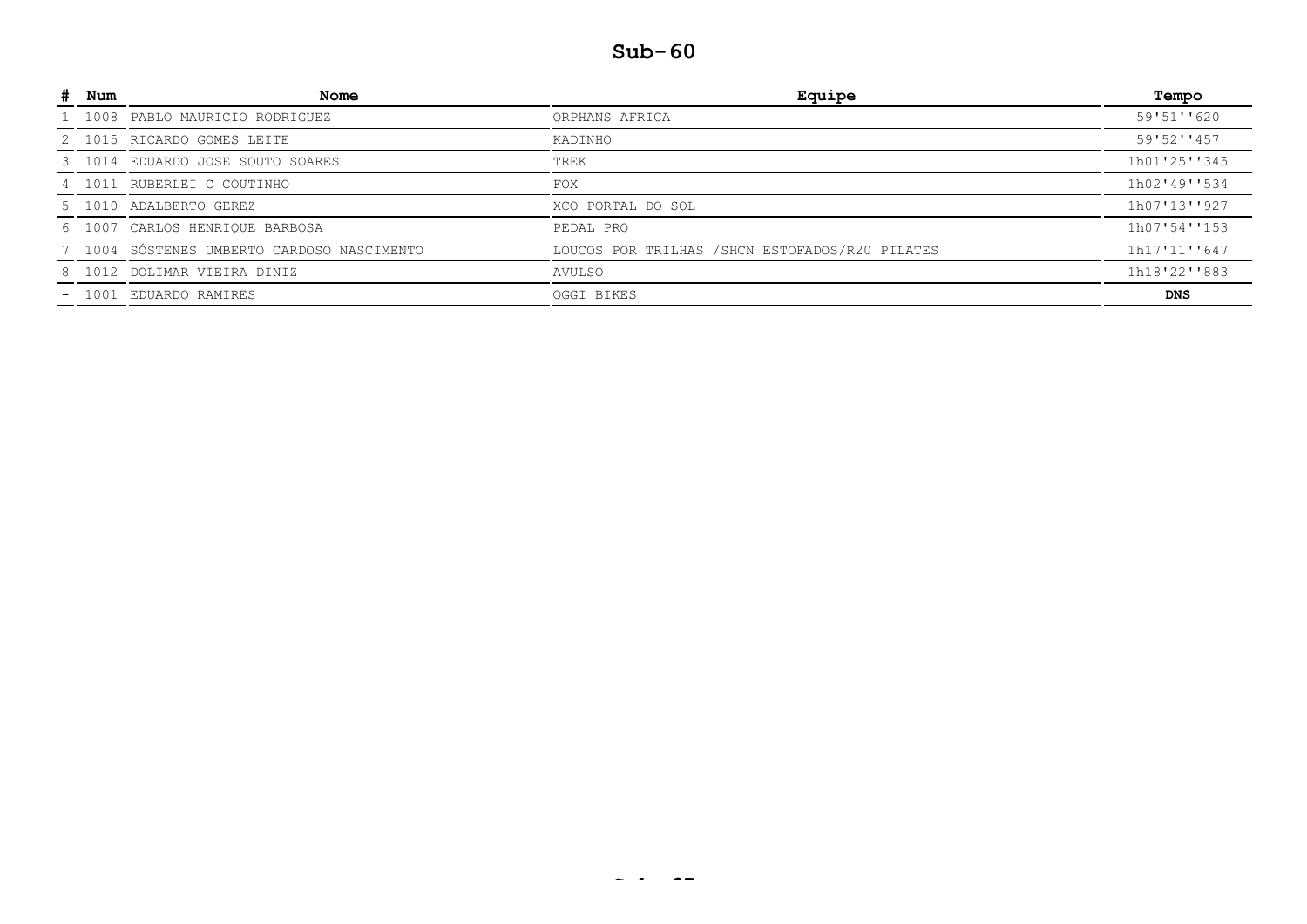| Num     | Nome                                       | Equipe                                          | Tempo        |
|---------|--------------------------------------------|-------------------------------------------------|--------------|
| 1 1008  | PABLO MAURICIO RODRIGUEZ                   | ORPHANS AFRICA                                  | 59'51''620   |
|         | 2 1015 RICARDO GOMES LEITE                 | KADINHO                                         | 59'52''457   |
|         | 3 1014 EDUARDO JOSE SOUTO SOARES           | TREK                                            | 1h01'25''345 |
|         | 4 1011 RUBERLEI C COUTINHO                 | <b>FOX</b>                                      | 1h02'49''534 |
|         | 5 1010 ADALBERTO GEREZ                     | XCO PORTAL DO SOL                               | 1h07'13''927 |
|         | 6 1007 CARLOS HENRIQUE BARBOSA             | PEDAL PRO                                       | 1h07'54''153 |
|         | 7 1004 SÓSTENES UMBERTO CARDOSO NASCIMENTO | LOUCOS POR TRILHAS / SHCN ESTOFADOS/R20 PILATES | 1h17'11''647 |
|         | 8 1012 DOLIMAR VIEIRA DINIZ                | AVULSO                                          | 1h18'22''883 |
| $-1001$ | EDUARDO RAMIRES                            | OGGI BIKES                                      | DNS          |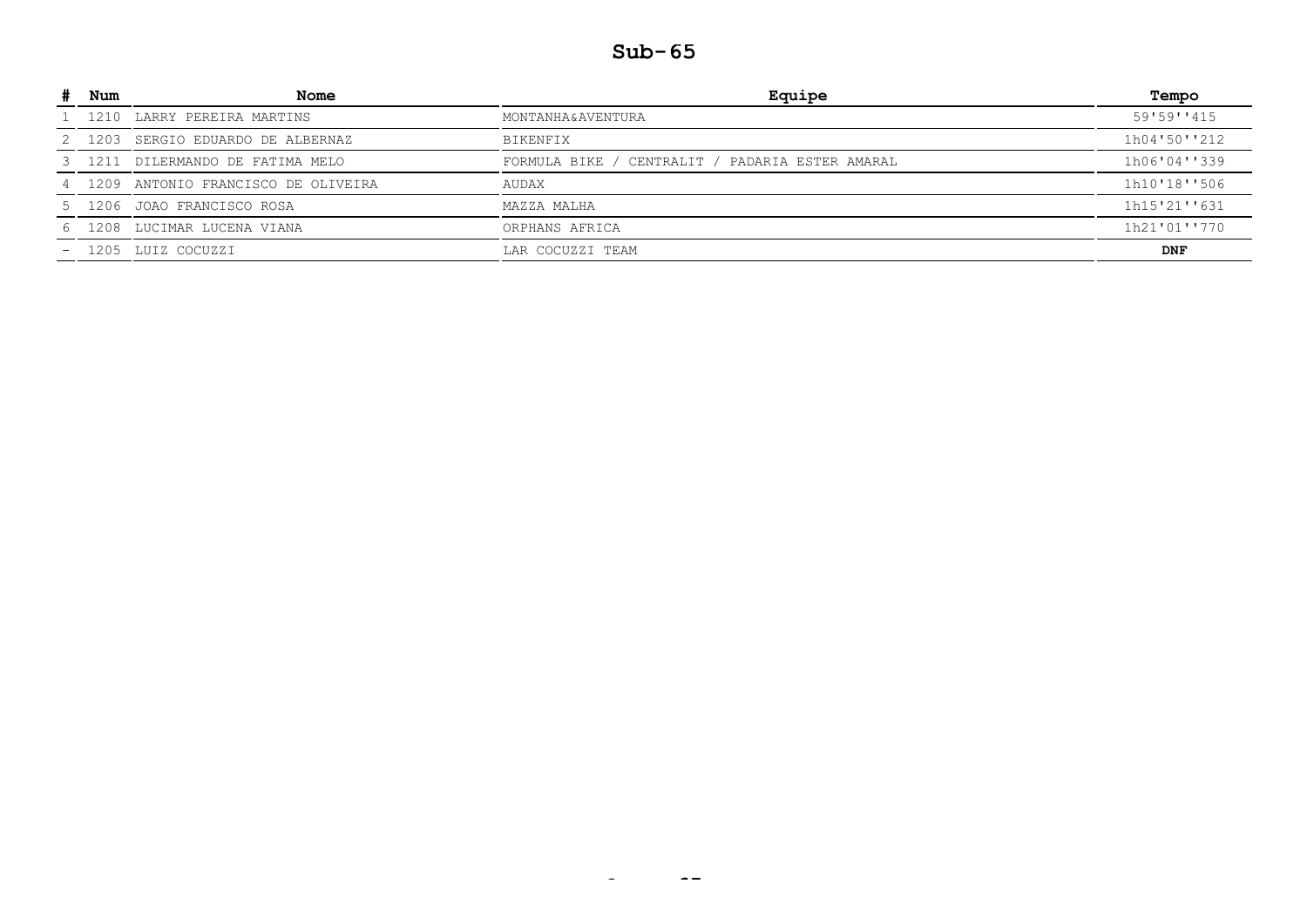|    | Num     | Nome                                 | Equipe                                          | Tempo        |
|----|---------|--------------------------------------|-------------------------------------------------|--------------|
|    |         | 1 1210 LARRY PEREIRA MARTINS         | MONTANHA&AVENTURA                               | 59'59''415   |
|    | 2 1203  | SERGIO EDUARDO DE ALBERNAZ           | BIKENFIX                                        | 1h04'50''212 |
|    |         | 3 1211 DILERMANDO DE FATIMA MELO     | FORMULA BIKE / CENTRALIT / PADARIA ESTER AMARAL | 1h06'04''339 |
|    |         | 4 1209 ANTONIO FRANCISCO DE OLIVEIRA | AUDAX                                           | 1h10'18''506 |
|    |         | 5 1206 JOAO FRANCISCO ROSA           | MAZZA MALHA                                     | 1h15'21''631 |
| 6. | 1208    | LUCIMAR LUCENA VIANA                 | ORPHANS AFRICA                                  | 1h21'01''770 |
|    | $-1205$ | LUIZ COCUZZI                         | LAR COCUZZI TEAM                                | <b>DNF</b>   |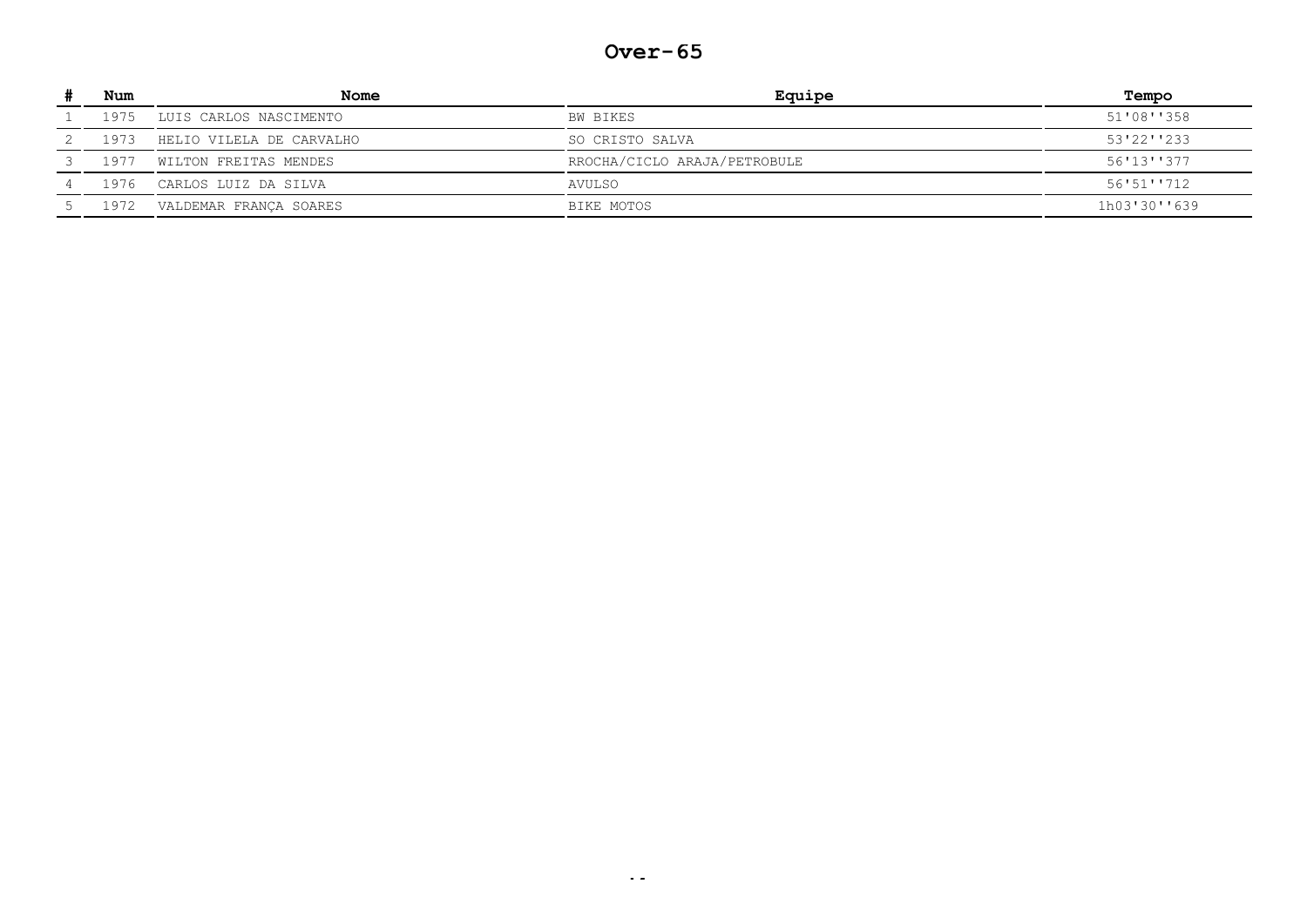#### **Over-65**

| Num  | Nome                     | Equipe                       | Tempo         |
|------|--------------------------|------------------------------|---------------|
| 1975 | LUIS CARLOS NASCIMENTO   | BW BIKES                     | 51'08''358    |
| 1973 | HELIO VILELA DE CARVALHO | SO CRISTO SALVA              | $53'22'$ '233 |
| 1977 | WILTON FREITAS MENDES    | RROCHA/CICLO ARAJA/PETROBULE | 56'13''377    |
| 1976 | CARLOS LUIZ DA SILVA     | AVULSO                       | 56'51''712    |
| 1972 | VALDEMAR FRANCA SOARES   | BIKE MOTOS                   | 1h03'30''639  |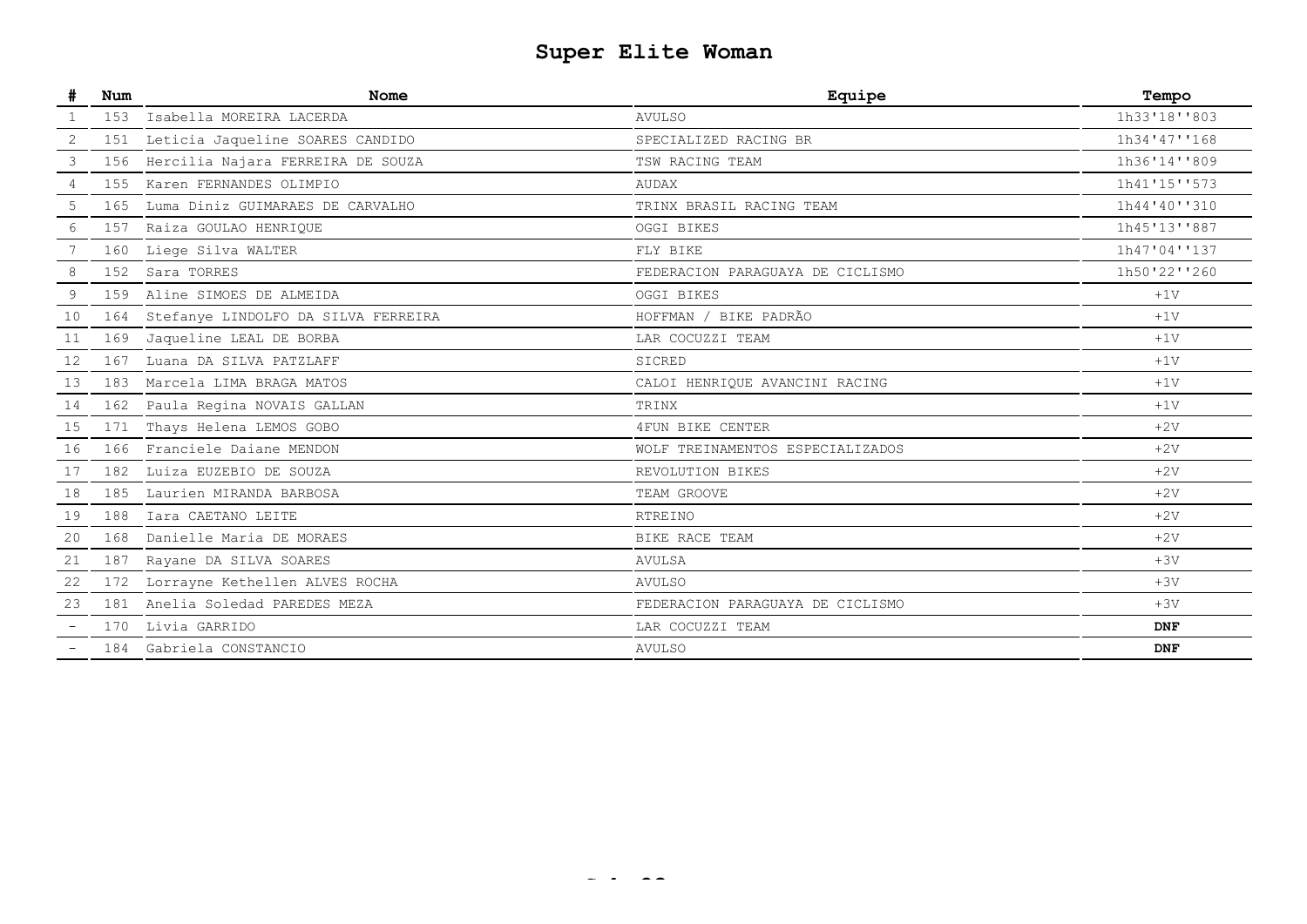# **Super Elite Woman**

|    | Num | <b>Nome</b>                         | Equipe                           | Tempo        |
|----|-----|-------------------------------------|----------------------------------|--------------|
|    | 153 | Isabella MOREIRA LACERDA            | <b>AVULSO</b>                    | 1h33'18''803 |
| 2  | 151 | Leticia Jaqueline SOARES CANDIDO    | SPECIALIZED RACING BR            | 1h34'47''168 |
| 3  | 156 | Hercilia Najara FERREIRA DE SOUZA   | TSW RACING TEAM                  | 1h36'14''809 |
| 4  | 155 | Karen FERNANDES OLIMPIO             | <b>AUDAX</b>                     | 1h41'15''573 |
| 5  | 165 | Luma Diniz GUIMARAES DE CARVALHO    | TRINX BRASIL RACING TEAM         | 1h44'40''310 |
| 6  | 157 | Raiza GOULAO HENRIQUE               | OGGI BIKES                       | 1h45'13''887 |
|    | 160 | Liege Silva WALTER                  | FLY BIKE                         | 1h47'04''137 |
| 8  | 152 | Sara TORRES                         | FEDERACION PARAGUAYA DE CICLISMO | 1h50'22''260 |
| 9  | 159 | Aline SIMOES DE ALMEIDA             | OGGI BIKES                       | $+1V$        |
| 10 | 164 | Stefanye LINDOLFO DA SILVA FERREIRA | HOFFMAN / BIKE PADRÃO            | $+1V$        |
| 11 |     | 169 Jaqueline LEAL DE BORBA         | LAR COCUZZI TEAM                 | $+1V$        |
| 12 | 167 | Luana DA SILVA PATZLAFF             | SICRED                           | $+1V$        |
| 13 | 183 | Marcela LIMA BRAGA MATOS            | CALOI HENRIQUE AVANCINI RACING   | $+1V$        |
| 14 | 162 | Paula Regina NOVAIS GALLAN          | TRINX                            | $+1V$        |
| 15 | 171 | Thays Helena LEMOS GOBO             | 4FUN BIKE CENTER                 | $+2V$        |
| 16 |     | 166 Franciele Daiane MENDON         | WOLF TREINAMENTOS ESPECIALIZADOS | $+2V$        |
| 17 | 182 | Luiza EUZEBIO DE SOUZA              | REVOLUTION BIKES                 | $+2V$        |
| 18 |     | 185 Laurien MIRANDA BARBOSA         | TEAM GROOVE                      | $+2V$        |
| 19 |     | 188 Iara CAETANO LEITE              | <b>RTREINO</b>                   | $+2V$        |
| 20 | 168 | Danielle Maria DE MORAES            | BIKE RACE TEAM                   | $+2V$        |
| 21 | 187 | Rayane DA SILVA SOARES              | <b>AVULSA</b>                    | $+3V$        |
| 22 | 172 | Lorrayne Kethellen ALVES ROCHA      | <b>AVULSO</b>                    | $+3V$        |
| 23 |     | 181 Anelia Soledad PAREDES MEZA     | FEDERACION PARAGUAYA DE CICLISMO | $+3V$        |
|    |     | 170 Livia GARRIDO                   | LAR COCUZZI TEAM                 | <b>DNF</b>   |
|    |     | 184 Gabriela CONSTANCIO             | <b>AVULSO</b>                    | <b>DNF</b>   |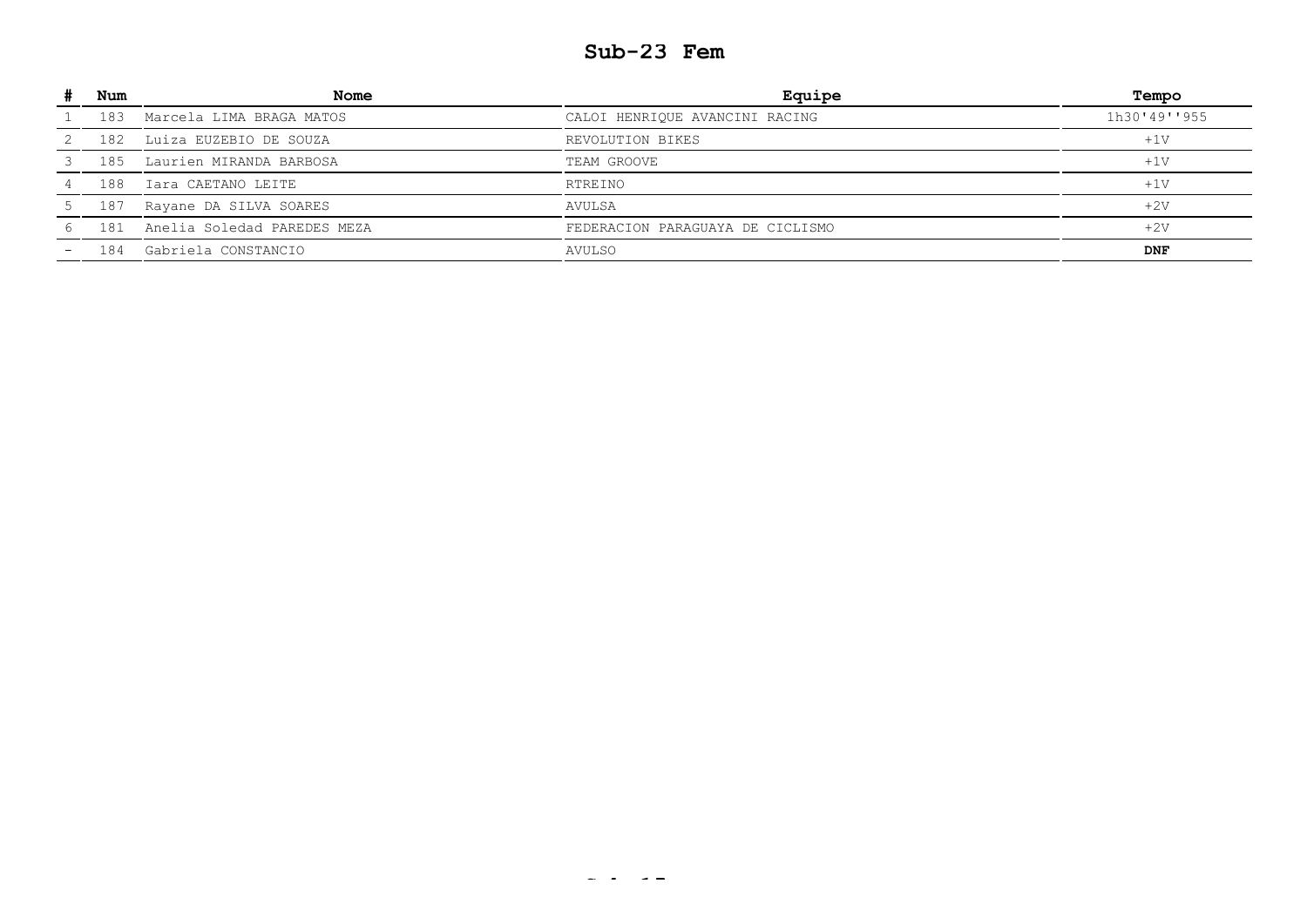### **Sub-23 Fem**

| Num | <b>Nome</b>                 | Equipe                           | Tempo        |
|-----|-----------------------------|----------------------------------|--------------|
| 183 | Marcela LIMA BRAGA MATOS    | CALOI HENRIQUE AVANCINI RACING   | 1h30'49''955 |
| 182 | Luiza EUZEBIO DE SOUZA      | REVOLUTION BIKES                 | $+1V$        |
| 185 | Laurien MIRANDA BARBOSA     | TEAM GROOVE                      | $+1V$        |
| 188 | Iara CAETANO LEITE          | RTREINO                          | $+1V$        |
| 187 | Rayane DA SILVA SOARES      | AVULSA                           | $+2V$        |
| 181 | Anelia Soledad PAREDES MEZA | FEDERACION PARAGUAYA DE CICLISMO | $+2V$        |
| 184 | Gabriela CONSTANCIO         | AVULSO                           | <b>DNF</b>   |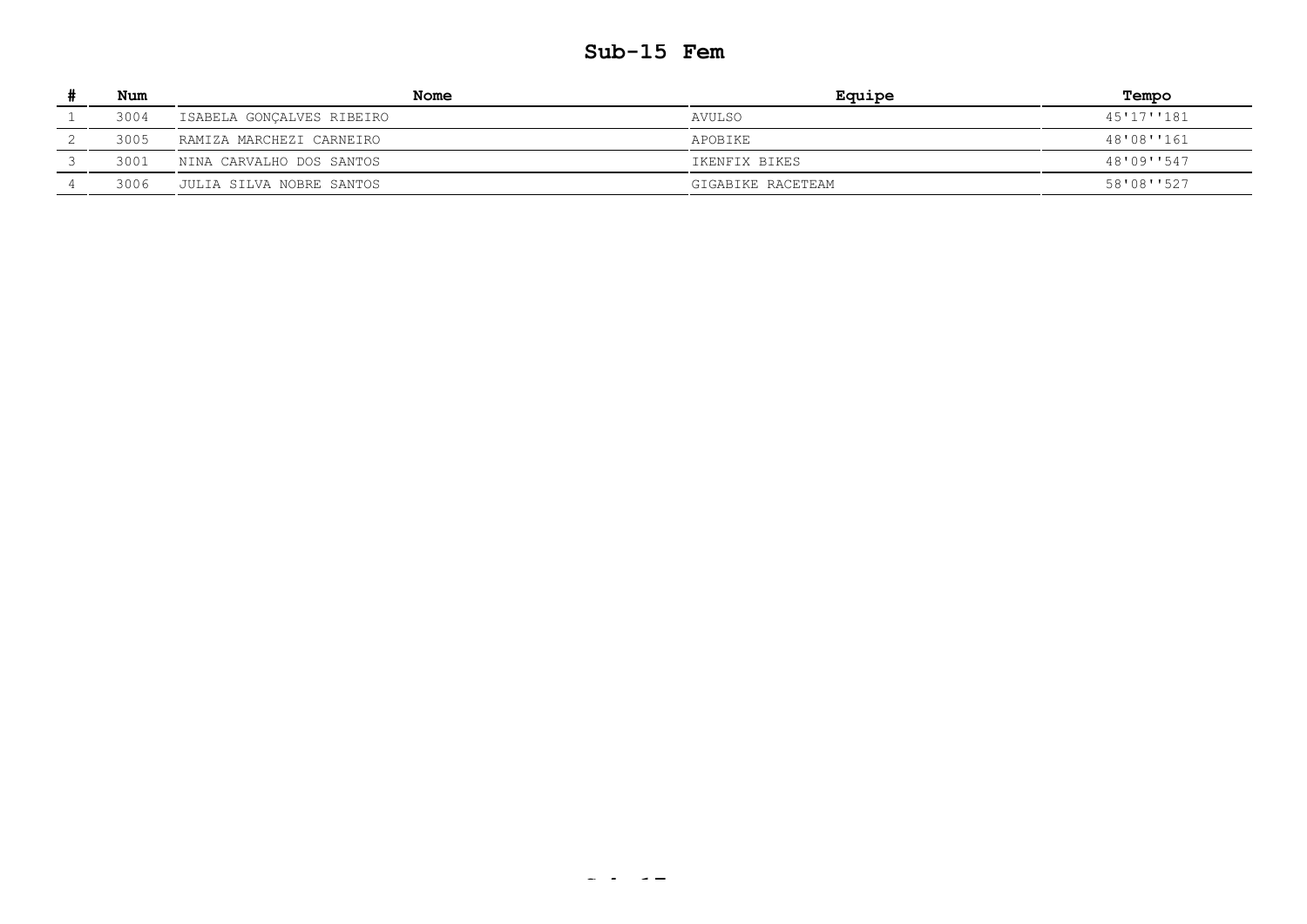### **Sub-15 Fem**

| Num  | Nome                      | Equipe            | Tempo      |
|------|---------------------------|-------------------|------------|
| 3004 | ISABELA GONÇALVES RIBEIRO | AVULSO            | 45'17''181 |
| 3005 | RAMIZA MARCHEZI CARNEIRO  | APOBIKE           | 48'08''161 |
| 3001 | NINA CARVALHO DOS SANTOS  | IKENFIX BIKES     | 48'09''547 |
| 3006 | JULIA SILVA NOBRE SANTOS  | GIGABIKE RACETEAM | 58'08''527 |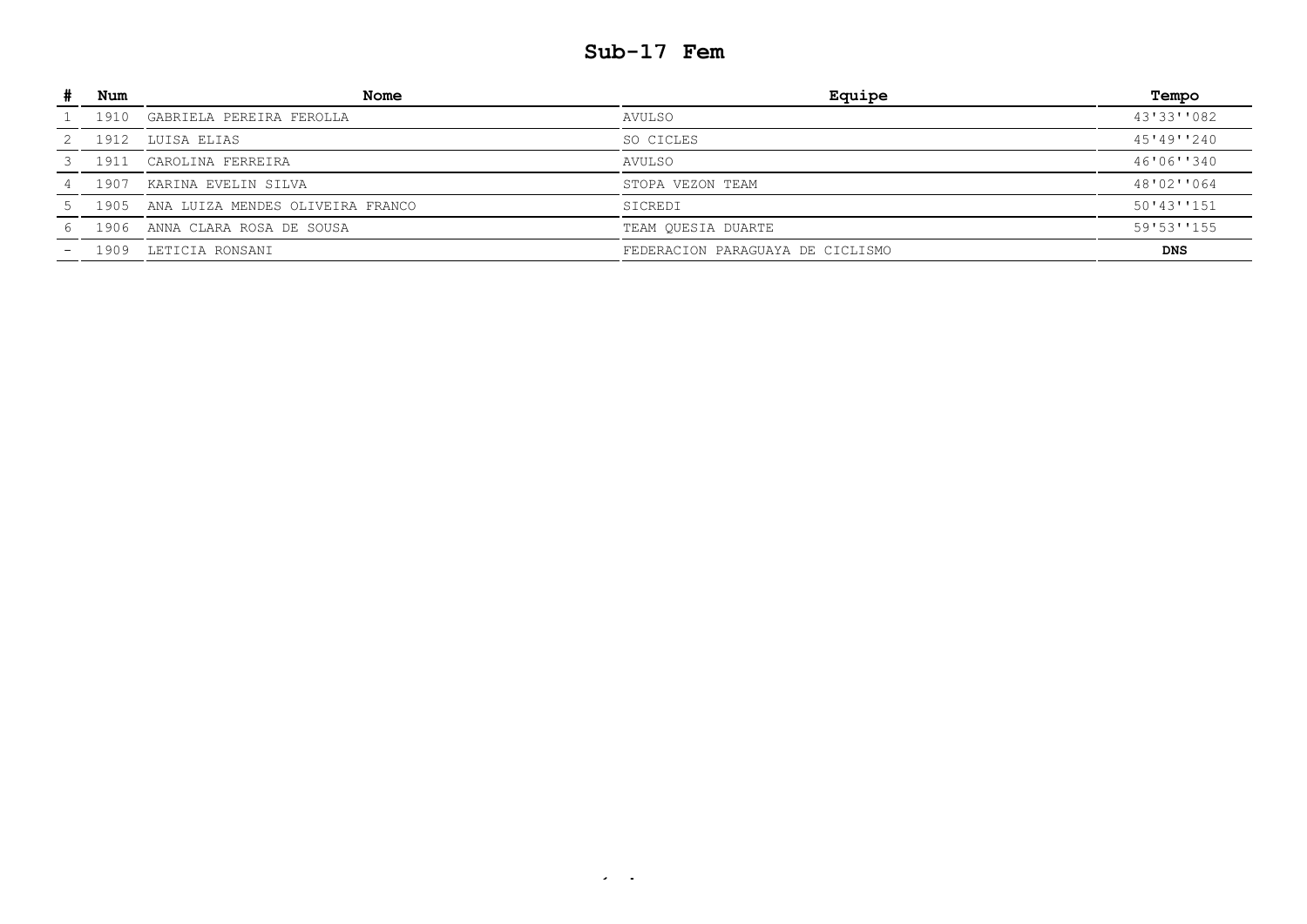### **Sub-17 Fem**

| Num  | Nome                                  | Equipe                           | Tempo      |
|------|---------------------------------------|----------------------------------|------------|
| 1910 | GABRIELA PEREIRA FEROLLA              | AVULSO                           | 43'33''082 |
| 1912 | LUISA ELIAS                           | SO CICLES                        | 45'49''240 |
| 1911 | CAROLINA FERREIRA                     | AVULSO                           | 46'06''340 |
| 1907 | KARINA EVELIN SILVA                   | STOPA VEZON TEAM                 | 48'02''064 |
|      | 1905 ANA LUIZA MENDES OLIVEIRA FRANCO | SICREDI                          | 50'43''151 |
| 1906 | ANNA CLARA ROSA DE SOUSA              | TEAM QUESIA DUARTE               | 59'53''155 |
| 1909 | LETICIA RONSANI                       | FEDERACION PARAGUAYA DE CICLISMO | <b>DNS</b> |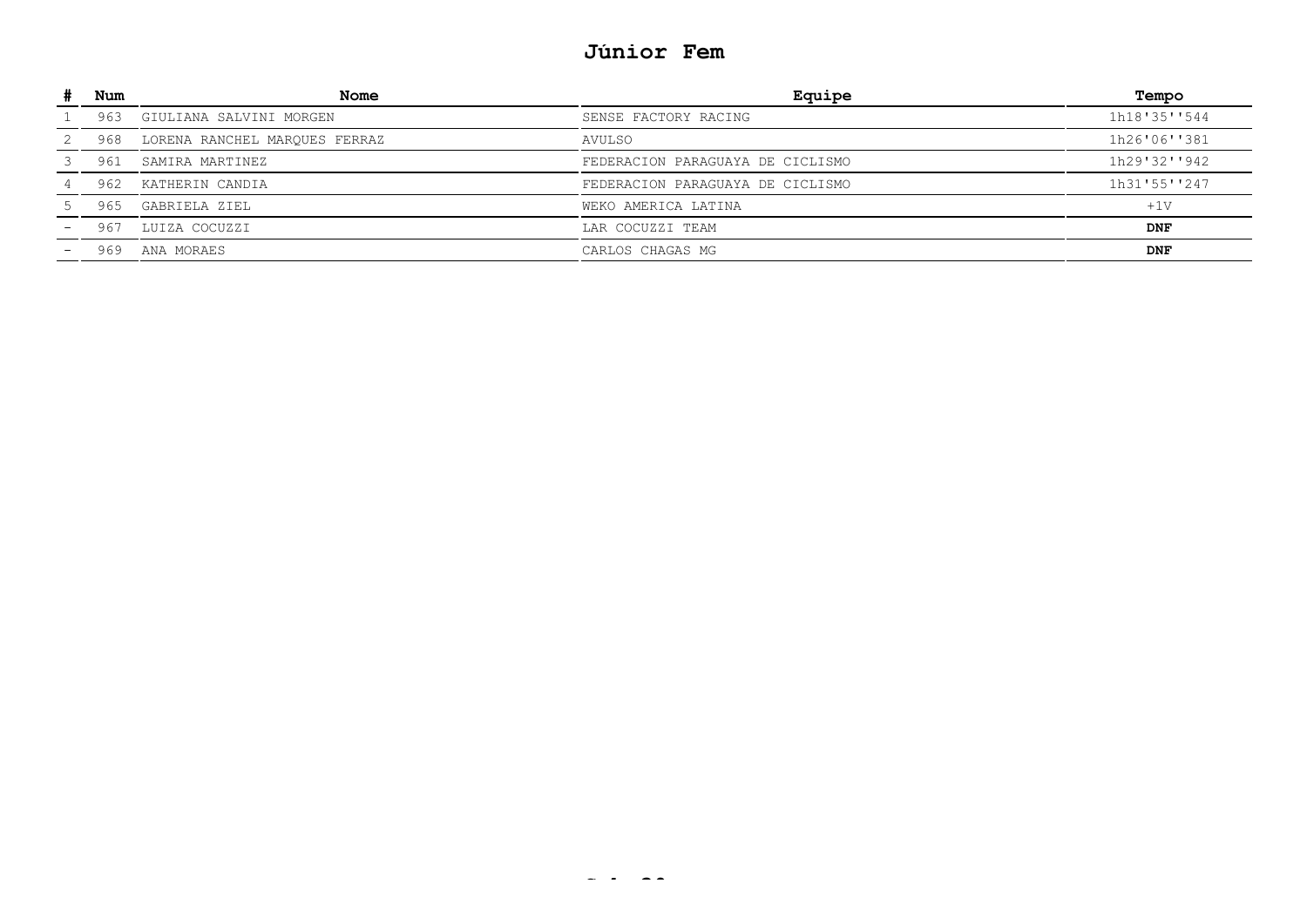# **Júnior Fem**

| Num | <b>Nome</b>                   | Equipe                           | Tempo        |
|-----|-------------------------------|----------------------------------|--------------|
| 963 | GIULIANA SALVINI MORGEN       | SENSE FACTORY RACING             | 1h18'35''544 |
| 968 | LORENA RANCHEL MARQUES FERRAZ | AVULSO                           | 1h26'06''381 |
| 961 | SAMIRA MARTINEZ               | FEDERACION PARAGUAYA DE CICLISMO | 1h29'32''942 |
| 962 | KATHERIN CANDIA               | FEDERACION PARAGUAYA DE CICLISMO | 1h31'55''247 |
| 965 | GABRIELA ZIEL                 | WEKO AMERICA LATINA              | $+1V$        |
| 96  | LUIZA COCUZZI                 | LAR COCUZZI TEAM                 | <b>DNF</b>   |
| 969 | ANA MORAES                    | CARLOS CHAGAS MG                 | <b>DNF</b>   |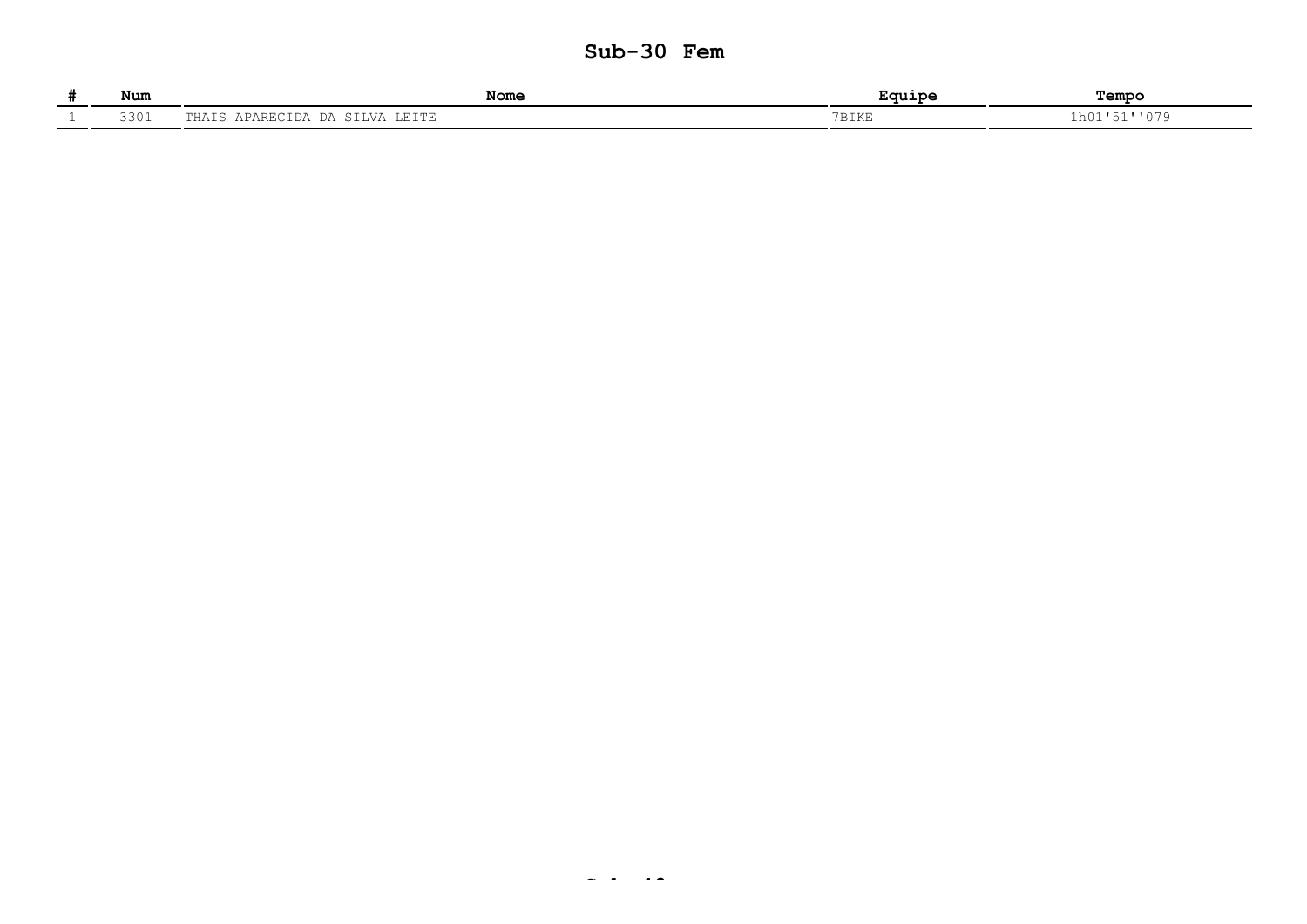### **Sub-30 Fem**

| Num  | Nome                                | .<br>$-$             | Tempo       |
|------|-------------------------------------|----------------------|-------------|
| 3301 | $\sqrt{ }$<br>$\Box$<br>- - - - - - | <b>PRIZE</b><br>DINL | ⊥h0"<br>◡ / |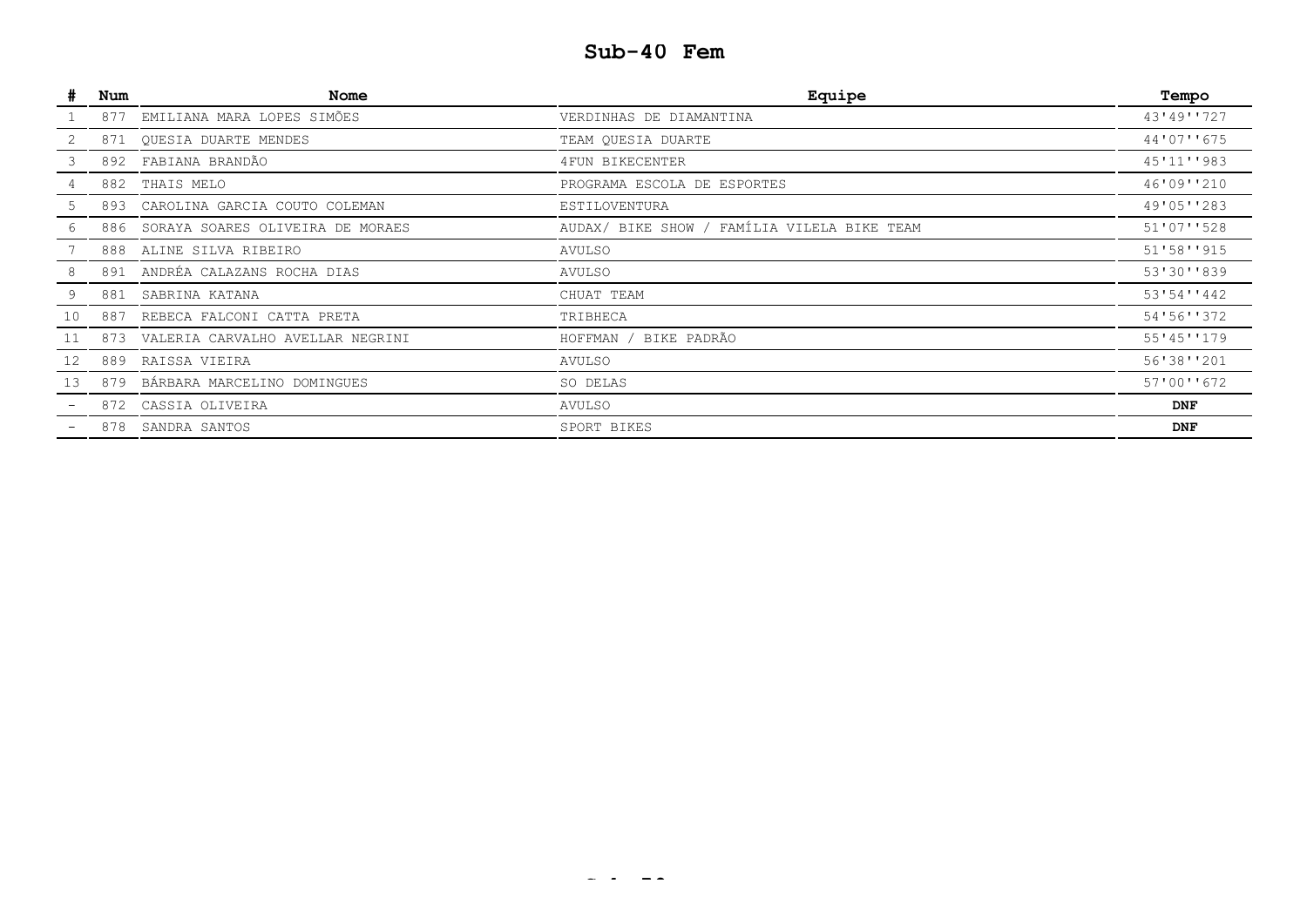# **Sub-40 Fem**

| $\#$ | Num | Nome                                 | Equipe                                      | Tempo       |
|------|-----|--------------------------------------|---------------------------------------------|-------------|
|      | 877 | EMILIANA MARA LOPES SIMÕES           | VERDINHAS DE DIAMANTINA                     | 43'49''727  |
|      | 871 | QUESIA DUARTE MENDES                 | TEAM QUESIA DUARTE                          | 44'07''675  |
| З.   |     | 892 FABIANA BRANDÃO                  | 4FUN BIKECENTER                             | 45'11''983  |
|      | 882 | THAIS MELO                           | PROGRAMA ESCOLA DE ESPORTES                 | 46'09''210  |
|      |     | 893 CAROLINA GARCIA COUTO COLEMAN    | ESTILOVENTURA                               | 49'05''283  |
|      |     | 886 SORAYA SOARES OLIVEIRA DE MORAES | AUDAX/ BIKE SHOW / FAMÍLIA VILELA BIKE TEAM | 51'07''528  |
|      | 888 | ALINE SILVA RIBEIRO                  | AVULSO                                      | 51'58'''915 |
| 8    |     | 891 ANDRÉA CALAZANS ROCHA DIAS       | AVULSO                                      | 53'30''839  |
| 9    | 881 | SABRINA KATANA                       | CHUAT TEAM                                  | 53'54''442  |
| 10   | 887 | REBECA FALCONI CATTA PRETA           | TRIBHECA                                    | 54'56''372  |
| 11   | 873 | VALERIA CARVALHO AVELLAR NEGRINI     | BIKE PADRÃO<br>HOFFMAN                      | 55'45''179  |
| 12   | 889 | RAISSA VIEIRA                        | AVULSO                                      | 56'38''201  |
| 13   |     | 879 BÁRBARA MARCELINO DOMINGUES      | SO DELAS                                    | 57'00''672  |
|      |     | 872 CASSIA OLIVEIRA                  | AVULSO                                      | <b>DNF</b>  |
|      | 878 | SANDRA SANTOS                        | SPORT BIKES                                 | <b>DNF</b>  |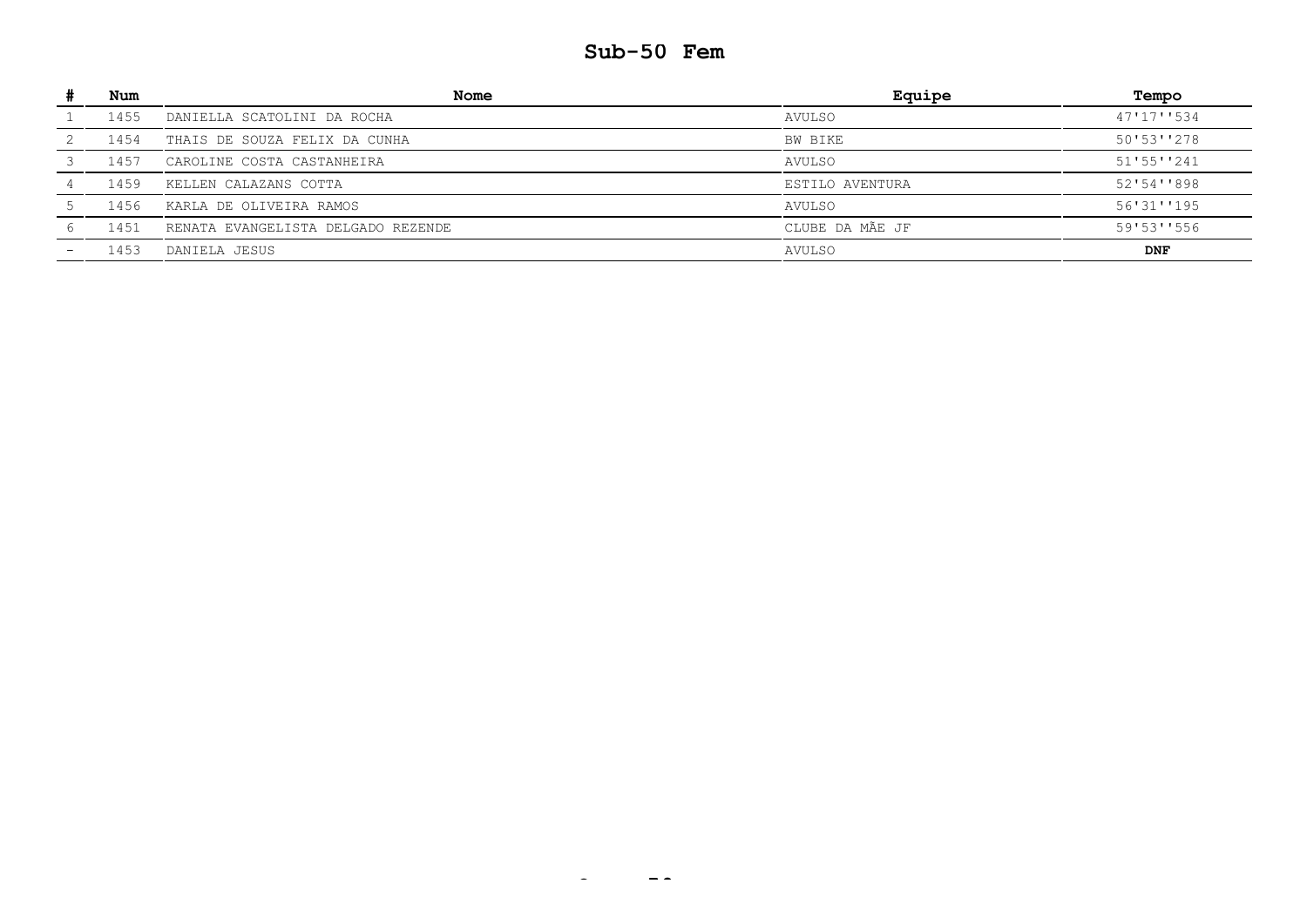### **Sub-50 Fem**

| Num  | Nome                               | Equipe          | Tempo      |
|------|------------------------------------|-----------------|------------|
| 1455 | DANIELLA SCATOLINI DA ROCHA        | AVULSO          | 47'17''534 |
| 1454 | THAIS DE SOUZA FELIX DA CUNHA      | BW BIKE         | 50'53''278 |
| 1457 | CAROLINE COSTA CASTANHEIRA         | AVULSO          | 51'55''241 |
| 1459 | KELLEN CALAZANS COTTA              | ESTILO AVENTURA | 52'54''898 |
| 1456 | KARLA DE OLIVEIRA RAMOS            | AVULSO          | 56'31''195 |
| 1451 | RENATA EVANGELISTA DELGADO REZENDE | CLUBE DA MÃE JF | 59'53''556 |
| 1453 | DANIELA JESUS                      | AVULSO          | <b>DNF</b> |